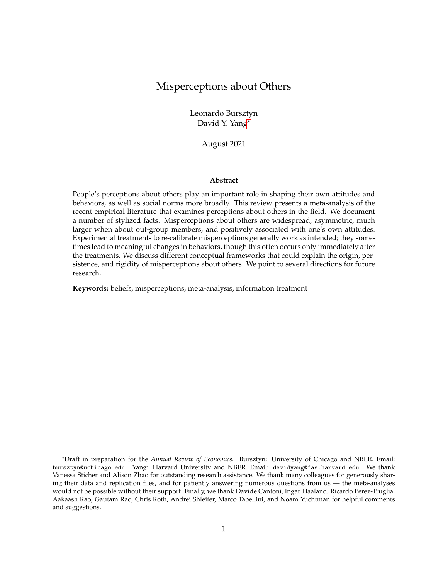### Misperceptions about Others

Leonardo Bursztyn David Y. Yang[\\*](#page-0-0)

August 2021

#### **Abstract**

People's perceptions about others play an important role in shaping their own attitudes and behaviors, as well as social norms more broadly. This review presents a meta-analysis of the recent empirical literature that examines perceptions about others in the field. We document a number of stylized facts. Misperceptions about others are widespread, asymmetric, much larger when about out-group members, and positively associated with one's own attitudes. Experimental treatments to re-calibrate misperceptions generally work as intended; they sometimes lead to meaningful changes in behaviors, though this often occurs only immediately after the treatments. We discuss different conceptual frameworks that could explain the origin, persistence, and rigidity of misperceptions about others. We point to several directions for future research.

**Keywords:** beliefs, misperceptions, meta-analysis, information treatment

<span id="page-0-0"></span><sup>\*</sup>Draft in preparation for the *Annual Review of Economics*. Bursztyn: University of Chicago and NBER. Email: bursztyn@uchicago.edu. Yang: Harvard University and NBER. Email: davidyang@fas.harvard.edu. We thank Vanessa Sticher and Alison Zhao for outstanding research assistance. We thank many colleagues for generously sharing their data and replication files, and for patiently answering numerous questions from us — the meta-analyses would not be possible without their support. Finally, we thank Davide Cantoni, Ingar Haaland, Ricardo Perez-Truglia, Aakaash Rao, Gautam Rao, Chris Roth, Andrei Shleifer, Marco Tabellini, and Noam Yuchtman for helpful comments and suggestions.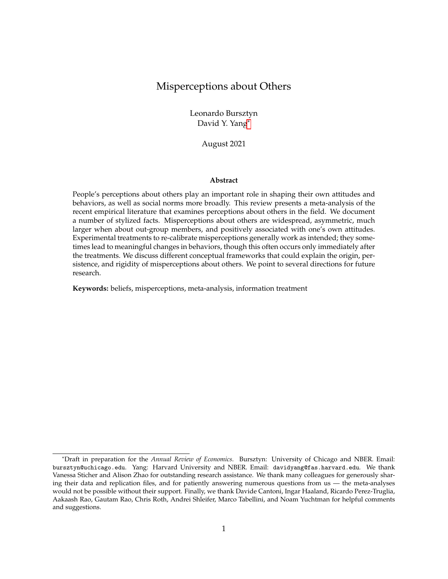## **I Introduction**

A long literature on peer effects, social learning, and coordination has established that people are influenced by friends, peers, and other members of society. In principle, people's *perceptions* about others should play an important role in these environments — such perceptions could in turn shape people's own attitudes, behaviors, and social norms.

A recent and growing body of evidence has documented widespread *misperceptions* in a variety of settings. Across societies, individuals widely misperceive what others think, what others do, and even who others are. This ranges from perceptions about the size of immigrant population in a society, to perceptions of partisans' political opinions, to perceptions of the vaccination behaviors of others in the community. This review presents a meta-analysis of the recent empirical literature that has examined (mis)perceptions about others in the field.<sup>[1](#page-1-0)</sup> This meta-analysis aims to answer a number of questions. What do misperceptions about others typically look like? What happens if such misperceptions are re-calibrated?

We compile the recent empirical studies that elicit perceptions about others in the field. We cover 79 papers published over the past 20 years. These papers examine perceptions across a range of domains: economic topics, such as beliefs about others' income; political topics, such as partisan beliefs; and social topics, such as beliefs on gender.

We establish a number of stylized facts. First, we document four facts on the pattern of misperceptions. *(I)* Misperceptions about others are widespread across domains, and they do not merely stem from measurement errors. *(II)* Misperceptions about others are very asymmetric, namely, beliefs are disproportionately concentrated on one side relative to the truth. *(III)* Misperceptions regarding in-group members are substantially smaller than those regarding out-group members. *(IV)* One's own attitudes and beliefs are strongly, positively associated with (mis)perceptions about others' attitudes and beliefs on the same issues.

Second, we present three patterns on the effects of re-calibrating misperceptions. *(I)* Experimental treatments to re-calibrate misperceptions generally work as intended. *(II)* Treatments that are qualitative and narrative in nature tend to have larger effects on correcting misperceptions. *(III)* While some treatments lead to important changes in behaviors, large changes in behaviors often only occur in studies that examine behavioral adjustments immediately after the interventions, suggesting a potential rigidity in the mapping between misperceptions and some behaviors.

The origin, persistence, and rigidity of misperceptions about others can in principle be explained by different conceptual frameworks, such as stereotyping (e.g., Bordalo et al. 2016), moti-

<span id="page-1-0"></span><sup>&</sup>lt;sup>1</sup>This means that our review does not cover the large literature on misperceptions about others in laboratory settings. Important examples of lab studies include analyses of perceptions of gender stereotypes (e.g., Bordalo et al. 2019), of voters' beliefs of others' behaviors in response to policy change (e.g., Dal Bó, Dal Bó and Eyster 2018), in addition to work in the context of games of public goods contribution (e.g., Fischbacher and Gächter 2010), and of altruism and dictator games (e.g., Di Tella et al. 2015). Our review also does not cover misperceptions about facts; see Nyhan (2020) for a recent review on this topic.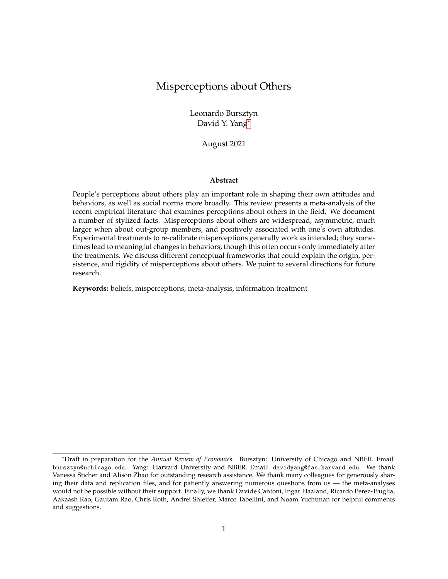vated reasoning (e.g., Benabou and Tirole 2016), and pluralistic ignorance (e.g., Kuran 1997; Bursztyn, Egorov and Fiorin 2020; Bursztyn, González and Yanagizawa-Drott 2020). While this review is primarily empirical, the findings we document support these major classes of models — each would predict (several of) the key facts that we document, and most of the existing study designs do not allow one to adjudicate among these models.

We end with a discussion of important directions for future research. First, more work is needed to explicitly identify the sources of misperceptions, and examine the patterns of misperceptions more directly to rule in and rule out existing theories. The patterns that we document may also generate the need for additional theoretical frameworks on the origin of misperceptions. Second, more work is needed to understand the different ways in which misperceptions could be re-calibrated, and under what conditions such re-calibrated misperception may actually lead to behavioral changes. Third, an important direction for future research is to consider the welfare implications of widespread misperceptions and of their correction — when should misperceptions be re-calibrated, and how?

The remainder of this paper proceeds as follows. Section [II](#page-2-0) describes the scope of the metaanalyses; Section III presents stylized facts on the patterns of misperceptions about others; Section IV presents stylized facts on re-calibrating such misperceptions. Section V concludes with a discussion on the potential future directions of research on this topic.

#### <span id="page-2-0"></span>**II Scope of the Meta-Analysis**

We aim to select, as comprehensively as we can, papers studying people's perceptions about others in the field that are published after 2000 and primarily in the discipline of Economics and Finance.

Specifically, we begin with a number of top journals in Economics and Finance (American Economic Review, Quarterly Journal of Economics, Journal of Political Economy, Econometrica, Review of Economic Studies, American Economic Journals, and Journal of Finance), as well as top working paper repositories (NBER, IZA, SSRN, and EconPapers). We supplement these outlets with a selected set of top journals in Political Science and Psychology (American Journal of Political Science, American Political Science Review, Political Analysis, Political Psychology, and Psychological Bulletin). We conduct keyword searches on "beliefs," "perception," "bias," "misperception," "misbelief," "impression," and "evaluation," and we screen out the papers manually to zoom in on the relevant topics. We then search for keywords "field experiment," "quasiexperiment," and "survey" to focus on papers that examine these topics in field settings. For each paper that we select based on these criteria, we also review the work cited by the authors and supplement the list of papers to be included in the analyses. Importantly, our paper selection criteria is not explicitly and exclusively focused on misperceptions; rather, we aim to include any papers that elicit beliefs about others in the field.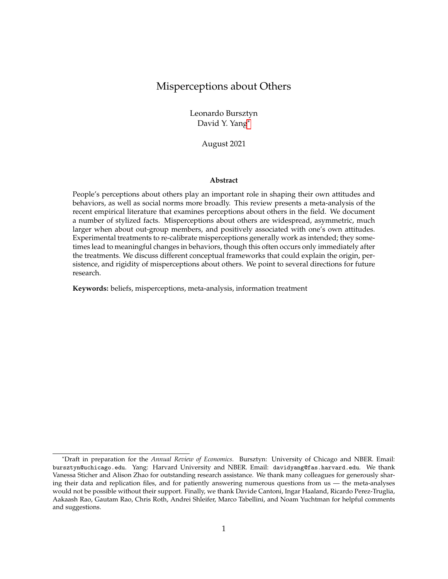Overall, this yields 79 papers that we include in the review. A subset of them, 51, are included in the primary components of the meta-analysis — this is because not all papers elicit the relevant variables needed for the meta-analysis, and not all papers provide sufficient replication data that allow us to calculate the necessary statistics. Table [1](#page-4-0) lists the papers included in the primary components of the meta-analysis; Appendix Table A.1 provides additional details on these papers; and finally, Appendix Table A.2 lists in addition the papers included in the review but not in the meta-analysis.

These papers cover a diverse set of topics. A large group of papers focus on the domain of politics, ranging from beliefs about others' political opinions and partisan characteristics, to beliefs about others' political participation behaviors, to beliefs about politicians. Another large group of them falls into the broad category of socioeconomics, ranging from those that analyze beliefs about others' income, to others' charitable giving choices, to others' socioeconomic characteristics such as gender and race, to stigma perceived by others regarding social programs, to others' tax evading behaviors, to others' expectation on inflation. Finally, a sizable body of work focuses on beliefs about others concerning topics of education, gender, immigration, and health. Appendix Table A.3 presents counts of the papers and elicited beliefs across topics.

Alongside the classification by topic domains, we can categorize papers by the types of beliefs about others that they study. Some focus on beliefs about others' opinions and attitudes (e.g., political attitudes, gender norms); some focus on beliefs about others' beliefs (e.g., beliefs about others' beliefs about people using food stamps); some focus on beliefs about others' characteristics (e.g., race, income); and some others focus on beliefs about others' actions (e.g., voting, charitable giving, behaviors in strategic games). Appendix Table A.4 presents counts of the papers and elicited beliefs across types.

Beliefs about others can also be differentiated based on different targets groups with respect to whom the beliefs are elicited. While some papers focus on beliefs about a general population (e.g., beliefs about the racial composition of the US population), the majority of papers focus on beliefs about a specific in-group or out-group from the perspectives of the respondents. For example, Bursztyn, González and Yanagizawa-Drott (2020) focus on beliefs of men about other men's opinions (in-group); Alesina, Miano and Stantcheva (2018) study perceptions of a native population about immigrants (out-group). A number of papers contrast beliefs about in-groups and out-groups. For example, Graham, Nosek and Haidt (2012) measure perceptions of Democrats and Republicans about their respective in-groups' and out-groups' political opinions. Appendix Table A.5 presents counts of the papers and elicited beliefs by targets.

Moreover, we note that the papers we review represent a variety of methods in eliciting beliefs about others. One dimension of methods relates to incentives for reporting perceptions accurately and truthfully. Certain papers elicit perception in an incentivized manner. For example, Cantoni et al. (2019) incentivize the elicitation of beliefs, rewarding respondents if their reported beliefs are within a certain range around the truth. Other papers refrain from incentivizing their belief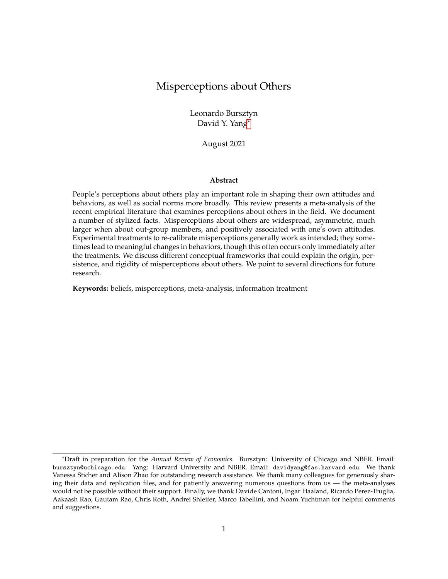Label Context Primary beliefs Treatment A-14 voters in California partisan differerences in political opinions no ABL-20 parents in Zambia daughter's ability and behavior yes AMR-21 households in Mozambique support for social distancing during COVID-19 pandemic yes AMS-18 non-immigrants in European countries and US immigrants' characteristics yes AMS-21 university staff members in Ethiopia female and male leader's ability yes AR-21 US representative sample stigma about food stamps yes AS-18 a sample of US population by party-stereotypical characteristics containing the sample of US population BC-12 poor families in Brazil high school and college graduate wages no BCG-16 self-identified liberals and conservatives in the US partisan differerences in political opinions no BFP-18 married couples in India gender norms on women working no BGY-20 married young men in Saudi Arabia women working outside of home yes BLP-20 taxpayers in Uruguay tax evasion behavior no BPT-20 senior medical students in the US position in the income distribution yes BS-18 state legislative candidates in the US public opinion about political issues no BTY-20 self-identified liberals and conservatives in the US partisan differerences in political opinions no CGK-21 firm managers in New Zealand inflation expectations yes CH-21 US representative sample probability for voting for Trump yes CPT-13 households in Argentina share of low income population no CPT-18 employees at a Southeast Asian corporation peers' and manager's salary no CYY-17 students at an university in Hong Kong anti-authoritarian attitudes no CYY-19 students at an university in Hong Kong protest participations yes DM-21 US sample donations yes DR-19 households in Malawi child's school performance yes F-18 students at an university in California present bias no FHW-15 a sample of villagers in Liberia project contribution ves

<span id="page-4-0"></span>**Table 1:** Overview of papers included in the meta-analyses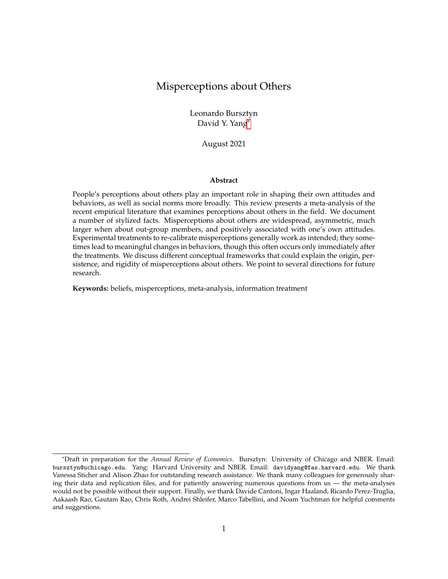| Label         | Context                                                    | Primary beliefs                                                              | Treatment |
|---------------|------------------------------------------------------------|------------------------------------------------------------------------------|-----------|
| <b>FM-04</b>  | university students in Switzer-<br>land                    | donations                                                                    | yes       |
| <b>FMP-19</b> | Germany representative sample                              | position in the income distribution                                          | yes       |
| GHM-20        | US representative sample                                   | closeness of elections, voting for<br>Democratic or Republican gover-<br>nor | yes       |
| <b>GNH-12</b> | US online sample                                           | partisan moral values                                                        | no        |
| <b>GRU-20</b> | US online sample                                           | immigrants' characteristics                                                  | yes       |
| <b>HFM-19</b> | senior legislative staff in the US                         | constituents' political opinions                                             | yes       |
| <b>HHH-19</b> | party supporters in a Western<br>European country          | canvassing behavior during elec-<br>tion campaign                            | yes       |
| <b>HNO-20</b> | CEOs and non-CEOs in China                                 | CEOs' and non-CEOs' strategic de-<br>cisions                                 | yes       |
| $HSC-18$      | non-Hispanic Americans                                     | size of immigrant population                                                 | yes       |
| $JO-09$       | women in five Indian states                                | women's status: acceptability of<br>husband beating his wife                 | yes       |
| $JO-20$       | Denmark representative sample                              | immigrant's characteristics                                                  | yes       |
| $K-21$        | parents in Sierra Leone                                    | child vaccination                                                            | yes       |
| <b>KNT-15</b> | voters in Italy                                            | politicians' ideology and compe-<br>tence                                    | yes       |
| $KP-21$       | US representative sample of par-<br>ents                   | child's skills reading and math<br>skills                                    | no        |
| $LM-16$       | US representative sample                                   | partisan differerences in political<br>opinions                              | no        |
| $LMB-13$      | male students at a US university                           | hand washing behavior                                                        | yes       |
| $LPR-20$      | taxpayers in Peru                                          | donation                                                                     | yes       |
| $LS-14$       | US sample                                                  | population characteristics                                                   | yes       |
| MT-19         | Chinese and US samples                                     | climate change: beliefs and policy<br>opinions                               | no        |
| $N-18$        | US representative sample                                   | global income distribution                                                   | yes       |
| <b>RF-18</b>  | high-risk students in the US                               | child's school absences                                                      | yes       |
| RLD-18        | parents in school districts on the<br><b>US West Coast</b> | child's school absences                                                      | yes       |
| <b>TS-18</b>  | students at a US university                                | students' mental health                                                      | yes       |
| $W-20$        | US representative sample                                   | Muslims' patriotism; attitudes to-<br>wards Muslims                          | yes       |
| $WZ-15$       | students at a US university                                | income depending on gender and<br>college major                              | yes       |
| $Y-19$        | Mozambique<br>representative<br>sample                     | HIV stigma                                                                   | yes       |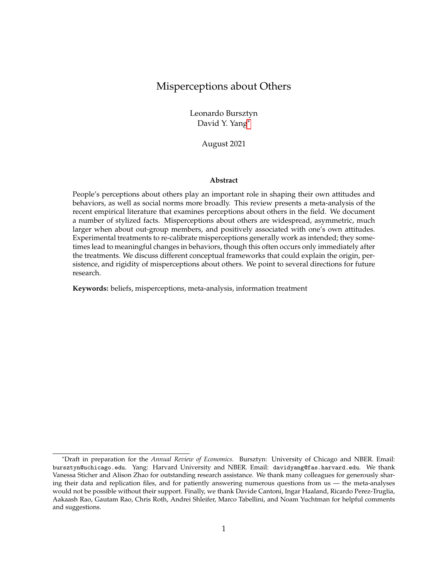elicitation. Appendix Table A.6 presents counts of the papers and elicited beliefs depending on whether the elicitation involves incentives. A second dimension of methods concerns the units of measure of the perception. Many papers measure perceptions about shares, e.g., perceptions about the share of people with a certain characteristic, agreeing with a statement, or taking an action. Another set of papers measures perceptions as absolute values, e.g., perceptions about others' (average) political opinions on ordinal scales or others' income. A few papers measure perceptions as binary indicators. For example, Kinsler and Pavan (2021) study beliefs regarding whether children's school performance is above average. We will examine whether patterns of beliefs about others depend systematically on the methods of the underlying belief elicitation. Appendix Table A.7 presents counts of the papers and elicited beliefs by units of measure.

Finally, the examined papers use various methods to assess changes in beliefs about others. A substantial share of papers implement experimental treatments explicitly aimed at changing respondents' beliefs about others (as indicated by the last column in Table [1,](#page-4-0) and which are explicitly reviewed in Section IV). The experimental designs vary across papers, ranging from eliciting beliefs both before and after the treatment (thus allowing for within-subject comparisons), to only eliciting beliefs after the treatment for the treated subjects (thus being constrained to betweensubject comparisons) potentially to mitigate anchoring and other unintended effects. While a number of papers aim to use experimental treatments to study the effects of belief manipulation about others on downstream behaviors, several studies focus exclusively on the effects on beliefs themselves (e.g., Jørgensen and Osmundsen (2020) study how information provision about non-Western immigrants' welfare dependency rate, crime rate, and population share affects respondents' opinions about immigrants; Jensen and Oster (2009) study how the access to cable TV changes women's acceptability of domestic violence). Appendix Table A.8 presents counts of the papers that involve treatment interventions, and Appendix Table A.9 presents counts depending on whether beliefs are elicited before and/or after the treatments.

Beliefs are the unit of analyses in our meta-analysis, and we aim to achieve balanced representation of papers. Our meta-analysis includes comparable numbers of studies for each major topic of beliefs about others. However, the number of beliefs differs substantially across types. For example, papers on beliefs about others' opinions elicit many more beliefs than papers on beliefs about others' characteristics and actions. We distinguish primary and secondary beliefs for each paper based on its focus, and restrict the main analyses just to the primary beliefs in cases that multiple beliefs are elicited in the paper. The stylized facts that we present remain unchanged if we include secondary beliefs to the analyses as well (see Appendix Figures A.1-A.3).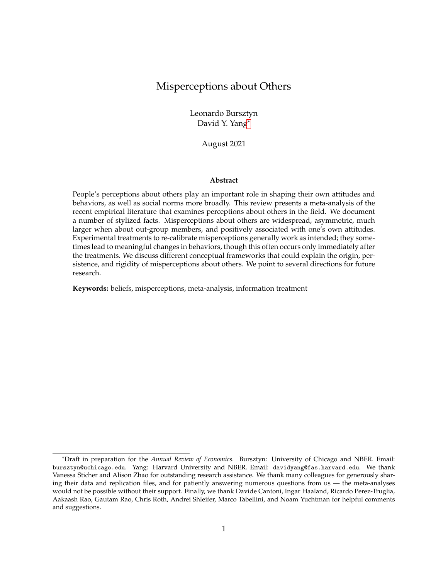## III Patterns on Misperceptions about Others

#### III.A Misperceptions about others are widespread

We begin by examining the prevalence of misperceptions about others across the papers in which beliefs about others are elicited.

We de ne the main measure of (mis)perceptions based on the distribution of perceptions relative to the true value: share of correct beliefs, allowing for a range of 0.5 standard deviations around the truth for noise. This measure provides a harmonized metric of misperceptions across papers, in particular given the diverse ways in which beliefs about others are elicited as described in Section II. Such measure does not depend on the speci c directions with which beliefs about others are measured. For example, when eliciting beliefs about others' support for universal health care, survey questions may ask about the share of population with high support, or low support. Neither does this measure of misperceptions depend on the unit of measurement. For example, some studies elicit beliefs regarding the shares of the population, and others elicit beliefs regarding the absolute size of certain groups. Alternative measures of misperceptions using different ranges around the truth yield results very similar to what we will describe next (see Appendix Figure A.4).

Note that this measure of misperceptions requires that perceptions about others are elicited and the corresponding truth is known. The truth can be either of an objective or a subjective nature. For example, perceptions of a population's racial composition have an objective truth, i.e., the population shares of each race groups as reported in census data. For perceptions of other people's opinions, the truth refers to the relevant populations' reported opinions (e.g., the average level of the opinions). These requirements limit the perceptions included in the analyses to those with a measurable and measured truth.

Figure 1 presents the distribution of the share of respondents holding correct perceptions across the primary beliefs about others elicited in the papers. The papers (and their primary beliefs) are ordered in descending fashion with respect to the share of respondents holding correct perceptions about others. One can see that the misperceptions about others are prevalent and generally large in magnitudes. In only 20% of the beliefs, the share of respondents who hold correct perceptions about others (i.e., within 0.5 standard deviation of the truth) exceeds 50%. In more than 30% of the beliefs, more than three quarters of the respondents hold beliefs that are at least 0.5 standard deviation away from the truth.  $2^{\circ}$ 

It is important to note that misperceptions about others are prevalent among the papers, despite the fact that misperception is not an explicit criterion for papers' inclusion. Papers are included in our analyses as long as they elicit beliefs about others. This could be reecting the

<sup>&</sup>lt;sup>2</sup>Interestingly, for a few belief dimensions, the share of respondents holding correct perceptions are high and even close to 100% — these are primarily perceptions about others' income, of which the truth has large standard deviations and thus our baseline correct perception metric becomes very conservative.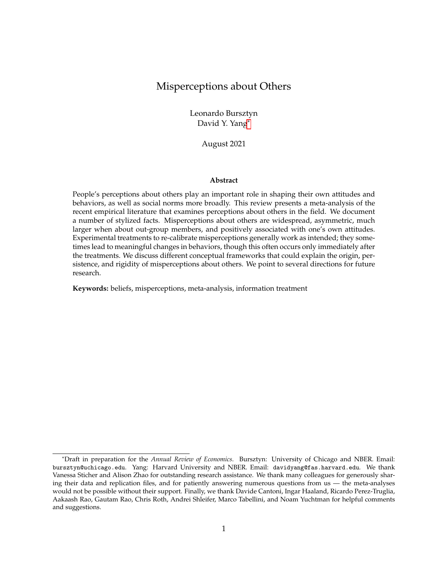Figure 1: The gure shows the distribution of misperceptions across papers. We measure misperceptions as the share of perceptions within 0.5<br>SD of the truth. Vertical lines indicate deciles.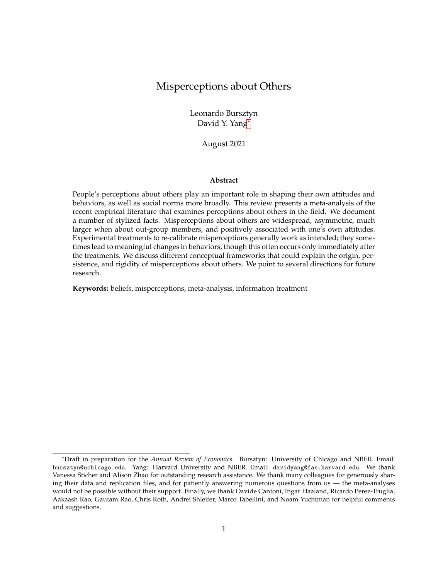genuine phenomenon that misperception is widespread. However, it is also likely that the published papers are implicitly selected on documenting misperceptions: it is dif cult to speculate whether the domains that are not covered by the existing literature may exhibit similar patterns of widespread misperception as we observe, or that the domains where misperceptions are prevalent are saliently focused by researchers and published works. While many important domains have already been studied by the current literature, more work is needed to explore whether there exist clusters of beliefs that are well calibrated among the population.

Another important aspect of the interpretation of misperceptions patterns is that our analyses, similarly to what is done by the vast majority of the work in the literature, take the distribution of the respondents' own characteristics, attitudes, preferences, beliefs, and actions as the truth. Accordingly, beliefs about others deviating from such truth are considered misperceptions. While this is uncontroversial when the truth is objective (e.g., beliefs about the population's demographic characteristics), at least in some domains where stigma and social desirability biases are extensive, respondents' answers about others may be more re ective of the truth than their own stated answers. Several works explicitly deal with issues related to stigma and social desirability biases that may affect survey responses and nd that this is not a primary concern (e.g., Bursztyn, Gonz ález and Yanagizawa-Drott 2020, Cantoni et al. 2019), but others have found it to be relevant for particular contexts such as social distancing behaviors during the COVID-19 pandemic (Allen et al., 2021).

#### III.B Misperceptions are not merely measurement error

Given the prevalence of misperceptions documented by the existing literature, one naturally wonders whether the elicited misperceptions may simply be noises when respondents report their perceptions about others. Note that our baseline measure of the proportion of respondents holding incorrect beliefs already account for answers reasonable close to the truth that may be due to measurement errors.<sup>3</sup>

We provide two more pieces of evidence from the meta-analyses to support that the prevalent misperceptions about others documented in the literature are not merely measurement errors. First, we examine whether the share of respondents holding correct beliefs (again, allowing for a window of error of 0.5 standard deviation around truth) is associated with the underlying level of the truth. When the truth is elicited in absolute level, we transform it into a percentage scale relative to the range of feasible values (the minimum and maximum possible values for beliefs with a nite minimum and maximum). For beliefs with an in nite minimum or maximum (e.g., beliefs about the global average income), we limit the range to a reasonable value set as the maximum belief excluding outliers in the data. Figure 2 plots the share of respondents holding correct beliefs against the corresponding truth in context of any given study. Apart from the cluster of

 $3$ We also nd that the share of respondents holding correct perceptions are uncorrelated with the number of observations in the study (p-value  $= 0.478$ ).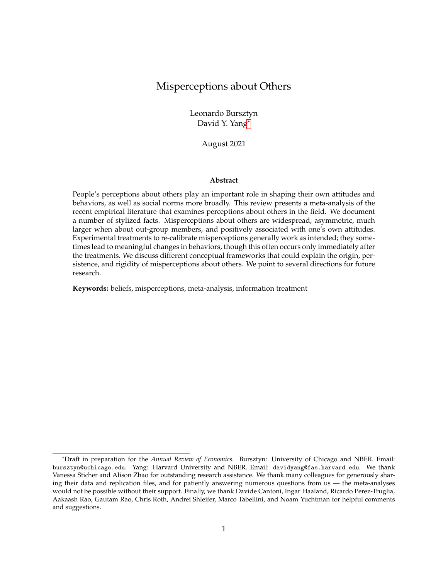Figure 2: This gure shows the share of correct perceptions (allowing for 0.5 SD around the truth) and the truth in relative terms. For perceptions with an in nite range of possible values, we restrict the scale by de ning a reasonable maximum (i.e., the maximum reported perception that is not clearly an outlier) these beliefs are represented by the grey dots.

studies that focus on beliefs about others' income where the truth levels are low in relative terms (in grey circles), one does not observe overt patterns between the level of misperceptions and the underlying truth levels. In particular, there is no evidence that the share of respondents reporting correct beliefs about others signi cantly increases when the truth is around midpoint of the distribution, due to reasons such as survey respondents' inattention or cognitive uncertainty (Enke and Graeber,  $2020$ <sup>4</sup>.

Second, we nd that the methods in which beliefs about others are elicited do not affect the magnitude of misperceptions. In particular, we do not observe the share of respondents holding incorrect beliefs to systematically depend on whether beliefs about others are elicited in relative terms (e.g., as percentage; studies following these methods are marked as triangle in Figure 2) or in absolute levels (marked as circles). In Appendix Figure A.5, we also show that the share of respondents holding incorrect beliefs is not systematically related to whether beliefs elicitation is incentivized. These patterns suggest that the elicited beliefs about others and the corresponding degree of misperceptions are unlikely to be driven by artifacts of speci c measurement choices and the differential levels of measurement errors associated with these methods.

Taken together, these patterns indicate that the misperceptions about others exhibited across papers in the recent literature likely re ect genuine, meaningful discrepancies between respon-

<sup>&</sup>lt;sup>4</sup>In a few studies that elicit respondents con dence in their reported perceptions (Nair, 2018; Fehr, Mollerstrom and Perez-Truglia, 2019; Bursztyn, González and Yanagizawa-Drott, 2020), those who are more con dent are indeed more likely to hold correct perceptions about others.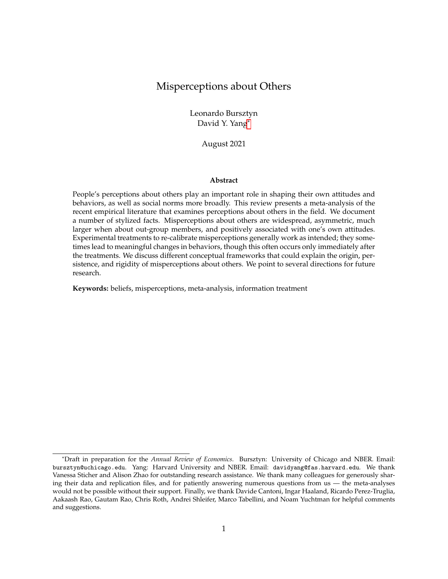dents beliefs about others and reality. The patterns of misperceptions that we will describe in the following sections, such as the shape of their distributions in Section III.C, also suggest that symmetric noises in general are unable to account for the observed misperceptions. Moreover, the fact that in most papers, respondents' beliefs about others are strongly associated with behaviors and other related attitudes suggest that the elicited misperceptions are in general capturing meaningful variations across people. It is thus worth understanding the causes and consequences of such misperceptions.

#### III.C Misperceptions about others are very asymmetric

We next examine the patterns of misperceptions about others, focusing rst on the distribution of beliefs underlying such misperception. Are incorrect beliefs that constitute the misperceptions about others symmetrically distributed around the truth?

We de ne asymmetry of misperceptions as the ratio between the share of respondents on one side of the truth and that on the other side. We always take the larger share as the numerator, and the smaller share as the denominator, regardless of whether the corresponding beliefs are underestimating or overestimating the truth. Thus, a ratio equals to 1 indicates exact symmetry, and the higher the ratio, the larger is the underlying asymmetry. Such measure of asymmetry does not require one to take a directional stance regarding overestimating and underestimating relative to the truth, preventing potential confusion caused by different phrasing of belief across papers. For example, the asymmetry measure remains unchanged no matter if the perception of a political opinion is phrased such that overestimation refers to a more liberal or conservative position.

Figure 3 presents the distribution of asymmetry of misperceptions across papers, where vertical lines split the asymmetry distributions into deciles. The top decile is presented in a separate panel due to the scaling. Overall, misperceptions about others are asymmetrically distributed, and such asymmetry is large in magnitude. In fact, only about 10% of the papers nd misperceptions about others symmetrically distributed around truth, namely, with approximately equal share of respondents holding beliefs above and below the truth. About 80% of the papers nd misperceptions with asymmetry measure greater than 1.5, that is, respondents fall on one side of the truth is greater than the other side by at least 50%; and for more than half of the papers, the asymmetry measure is greater than 2.5, namely, respondents fall on one side of the truth is greater than the other side by at least 150%. This pattern of asymmetry is robust to alternative measures: for example, we omit correct perceptions (again allowing for different ranges around the truth as in section III.A) when constructing the asymmetry ratios, and the results are presented in Appendix Figure A.6.

The prevalence of asymmetry in misperceptions are unlikely to be driven by any implicit selection in papers' publications. While many papers feature misperceptions, most papers that we examine do not explicitly mention the asymmetry of such misperception.

What may account for such prevalence of asymmetry in misperceptions about others? One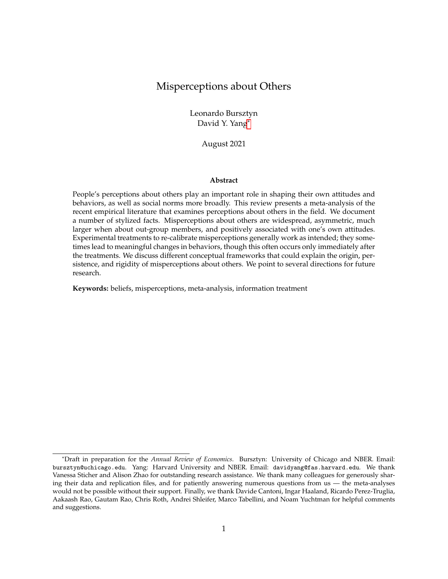Figure 3: This gure shows the distribution of asymmetry across papers. Asymmetry is de ned as the ration of underestimates to overestimates<br>using the larger share as the numerator and the smaller share as the denominator.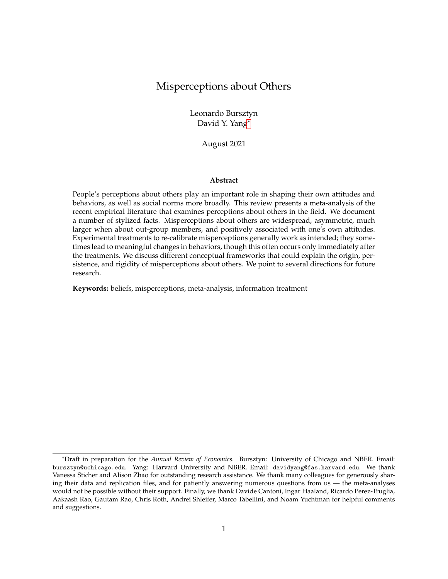may suspect that such asymmetry may mechanically appear when truth moves away from the midpoint of the scale. For example, there may be greater asymmetry in misperceptions if the truth is 80% than the case if the truth is 50%. However, we nd that asymmetry in misperceptions is not merely a result of the underlying magnitude of truth — the degree of asymmetry is largely uncorrelated with where truth stands along the distribution (see Appendix Figure A.7).  $5$ 

A number of demand-side mechanisms emphasized in the literature could generate systematic asymmetry in misperceptions about others. They include: (i) stereotyping, where beliefs are systematically shifted towards the direction that are more representative in the tail likelihood (e.g., Bordalo et al. 2016);(ii) projection bias, when one's own attitudes are asymmetrically distributed, then perceptions about others projected from one's own attitudes would be asymmetric as well (e.g., Madarász 2012; see Robbins and Krueger 2005 for a review in the social psychology literature on this topic); <sup>6</sup> and (iii) pluralistic ignorance, in particular due to social stigma and political pressure — if such stigma and pressure concern expressions of attitudes in one particular direction, the resulting misperceptions about others due to pluralistic ignorance could become asymmetrically concentrated toward that direction as well (e.g., Bursztyn, Egorov and Fiorin 2020; Bursztyn, González and Yanagizawa-Drott 2020; Braghieri 2021). Note that while the mechanism of stereotyping could result in asymmetry in misperceptions about others under all circumstances, other mechanisms described above would generate asymmetry only under certain conditions.

Important supply-side factors could also contribute to the asymmetric misperceptions that we observe across papers, and this may be especially relevant in the domain of politics.<sup>7</sup> The average biases and slant in media on both sides of the political spectrum may not cancel each other out in aggregate, and the asymmetric misperceptions about others among the citizens could reect the underlying supply-side asymmetry in media content. In particular, media on one side of the political spectrum might be particularly effective in affecting audience's beliefs about others, and hence resulting in the overall asymmetry in voters' misperceptions. It is also important to note that such asymmetric media landscape might also interact with the demand-side forces discussed above, which could in turn further foster asymmetric misperceptions. A particularly salient environment where demand-side and supply-side forces intersect is social media, where studies have shown that content exposures could substantially affect individuals' views towards others (Allcott et al., 2020; Bursztyn et al., 2020; Levy, 2021). Disentangling these mechanisms on both the demand and supply side, and understanding how they interact would be an important direction for future research.

<sup>5</sup>Most studies do not feature elicitations of misperceptions along multiple directions. In Alesina, Miano and Stantcheva (2018), perceptions of the prevalence of both highly educated and lowly educated immigrants are elicited; one observes asymmetry with many more respondents under-estimate immigrants' education level regardless of the ways the questions are asked.

<sup>&</sup>lt;sup>6</sup>Motivated reasoning could complement projection bias under certain circumstances, for example, when the beliefs that others are similar to oneself provides additional utility.

<sup>&</sup>lt;sup>7</sup>A large literature in economics and political science has devoted to studying the impact of media biases on citizens' political beliefs and behaviors, and we cannot do justice to survey this vast literature here.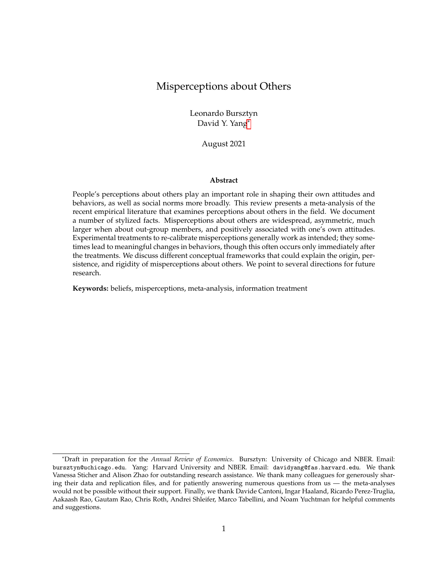# III.D Misperceptions about in-groups are substantially smaller than those about outgroups

We next examine whether patterns of misperceptions about others differ depending on whether the targets of the beliefs are in-group or out-group members of the respondents' social group.

In order to capture the difference between groups and not confound it with differences across dimensions of misperceptions, we compare misperceptions regarding in-group members and those regarding out-group members within a particular belief dimension. For example, we compare the perceptions of Democrats about other Democrats' (in-group) and Republicans' (out-group) political opinions. This requires studies to elicit both in-group and out-group perceptions, and the analyses in this section are thus limited to the following papers: Ahler and Sood (2018); Ahler (2014); Cullen and Perez-Truglia (2018); Mildenberger and Tingley (2019); Levendusky and Malhotra (2016); Bordalo et al. (2016); Graham, Nosek and Haidt (2012); Wiswall and Zafar (2015). This set of papers is concentrated in the domain of politics: 5 of them cover perceptions of Democrats and Republicans about each other.

Figure 4 presents the comparisons between misperceptions about in-group members and those about out-group members. We focus on three aspects of such comparisons:(i) the size of misperceptions, measured as the share of respondents holding correct perceptions about others, using the metric described in Section III.A (Panel A); (ii) the spread and variation in perceptions about others, measured by the standard deviation of the corresponding perceptions (Panel B); and (iii) the asymmetry of perceptions, measured by the ratio of respondents fall on either side of truth, using the metric described in Section III.C (Panel C). Along each of these three aspects, we plot the in-group vs. out-group differences: a positive number in Panel A, for example, would indicate a higher share of respondents holding correct beliefs about in-group members than about out-group members along the same belief dimension.

We observe that perceptions about in-group members are systematically better calibrated, less disperse, and less asymmetric. Among more than half of the belief dimensions, more respondents hold correct beliefs about their in-group members than about out-group members. Moreover, beliefs about out-group members tend to exhibit greater spread across respondents than that about in-group members, suggesting that perceptions about in-group members are not only more accurately calibrated on average, but also more tightly calibrated around the truth. Finally, we nd that perceptions about in-group members are much more symmetrically distributed around the truth, than that about out-group members. Intriguingly, we do not observe an obvious pattern between the differences in average in-group vs. out-group misperceptions and the differences in their spread. On the other hand, the greater the in-group vs. out-group differences in shares of respondents holding correct perceptions, the bigger is the differences in the underlying asymmetry in the perceptions. Appendix Figure A.8 plots the correlations across in-group vs. out-group differences in average misperceptions, the spread of beliefs, and asymmetry of the misperceptions.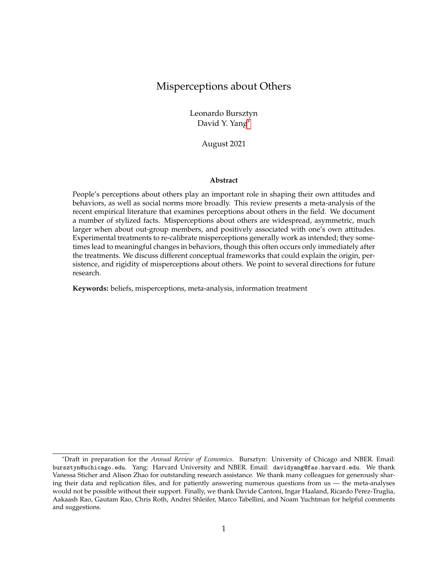Figure 4: This gure displays the difference between perceptions about in-group and out-group. Panel A shows the share of beliefs within 0.5 SD of the truth. Panel B shows the standard deviations of beliefs re-scaled by the possible values. Panel C shows asymmetry, de ned as the ratio of underestimates to overestimates (using the larger share as the numerator and the smaller share as the denominator).

Depending on the mechanisms that drive the differences in perceptions between in-group and out-group members, distinct avenues may be effective in reducing the misperceptions. If the misperceptions about others, especially when the target of inference are out-group members, are driven by (rational) inattention, then direct information provision could be effective in reducing the misperceptions. To the extent that social interactions are much more abundant among in-group members than out-group members due to segregation, homophily in social networks, or online 1ter bubbles (e.g., Gentzkow and Shapiro 2011; Glaeser 2005), inducing greater social contact with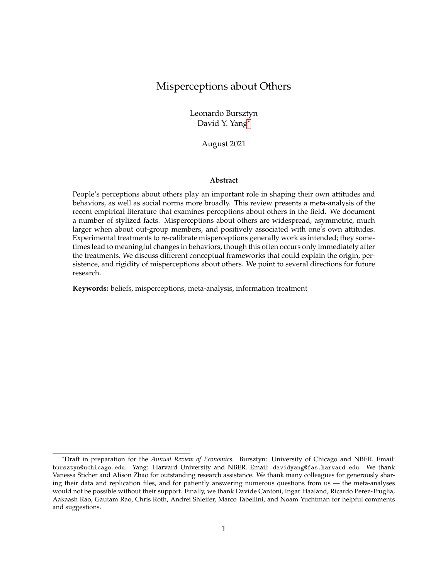and consumption of information regarding out-group members may serve to mitigate misperceptions (e.g., Bursztyn et al. 2021; Schindler and Westcott 2021). However, simply increasing social interactions may not be effective and could even generate backlash, if perceptions about out-group members are associated with identity-based motives (e.g., Bonomi, Gennaioli and Tabellini 2021) and affective politics (e.g., Iyengar et al. 2019). Furthermore, the very concept of in-group and out-group may be endogenously determined, based on factors such as individuals' immediate surroundings, changes in the presence of "outsiders," and the socioeconomic or cultural dimensions on which identity is determined. Current research does not provide suf cient empirical evidence to distinguish among the mechanisms underlying in-group vs. out-group differences in misperceptions: this is an important direction for future research.

## III.E Attitudes/beliefs of oneself are strongly, positively associated with misperceptions about others

Finally, we examine whether misperceptions about others are systematically associated with one's own attitudes, beliefs, and behaviors. For example, is one's own opinion about a certain policy correlated with the perception of others' opinion about that same policy?

We focus on papers that report both perceptions about others (characteristics, attitudes, beliefs, and behaviors) and the corresponding characteristic, attitudes, beliefs, and behaviors of the respondents themselves. This limits the sample used for this exercise to 17 papers. To get a measure of correlation that is comparable across papers, we standardize both the perception and the own characteristic and calculate the correlation between the standardized measures.

For each dimension of the perceptions about others, we regress that on the corresponding characteristics, attitudes, beliefs, or behaviors of the respondents themselves. Figure 5 presents the correlation coef cients, as well as the 95% con dence interval of the estimates. In the majority of the papers and the beliefs that they elicit, we observe that attitudes, beliefs, and behaviors of one's own are strongly and positively associated with one's beliefs about others in the same dimension.

We then distinguish if this pattern differs depending on whether the perceptions concern ingroup or out-group members. We use the same classi cation criteria as described in Section III.D. For papers that only elicit beliefs about one group, we judge whether the targets of the beliefs are about the general population of concerns given the scope of the paper (e.g., perceived share of people in Uruguay evading taxes, as in Bergolo et al. (2020)), or about members who share characteristics with the respondents (e.g., men's perceptions of other men's support for women working outside the home, as in Bursztyn, Gonz ález and Yanagizawa-Drott (2020)). Correlation coef cients on perceptions about in-group members are marked in darker grey in Figure 5, and those about out-group members are marked in lighter grey. We observe that when perceptions are concern out-group members, the correlation between one's own attitudes, beliefs, and behaviors,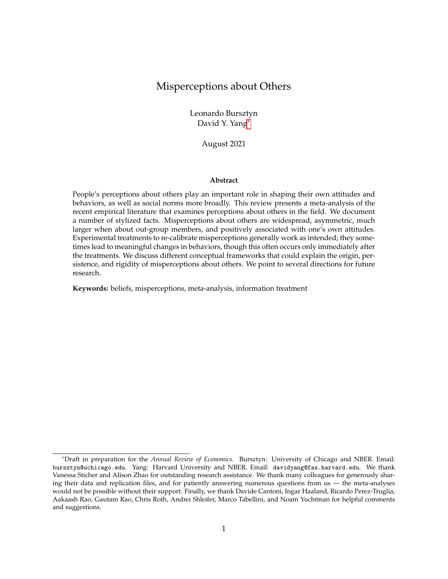Figure 5: This gure shows the correlation between perceptions about others' characteristics/opinions/actions and one's own characteristics/opinions/actions (both standardized) with 95% con- dence intervals based on robust standard errors. Different color represent perceptions about one's in-group, out-group, or general population.

and the corresponding perceptions about others turn signi cantly negative.

Taken together, these patterns indicate that respondents overwhelmingly tend to think that other in-group members share their characteristics, attitudes, beliefs, or behaviors, while those in the out-groups are opposite of themselves.

Several mechanisms could account for the patterns observed here. Projection bias in general (e.g., Madarász 2012), and curse of knowledge in particular (e.g., Camerer, Loewenstein and Weber 1989), would predict a strong correlation between one's own attitudes, beliefs, and behaviors, and the corresponding beliefs on others. Note that the most generic form of projection bias would not be able to account for the opposite patterns between beliefs about in-group and out-group members. Another mechanism that is consistent with these patterns is motivated reasoning. Beliefs about others could become associated with one's own attitudes when one derives utility from holding speci c beliefs about others: positive utility from holding beliefs that in-group members are aligned with one's own attitudes and preferences, and out-group members are opposite of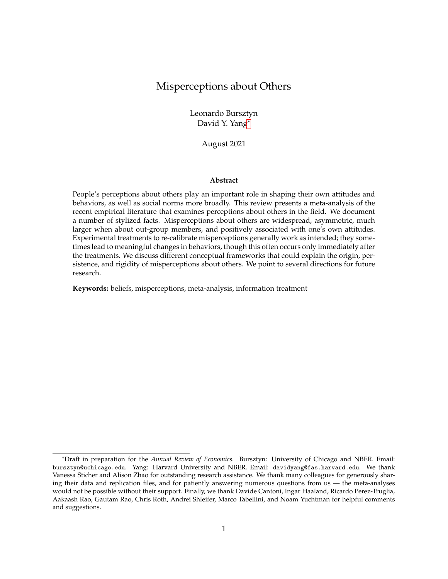one's own (e.g., Bonomi, Gennaioli and Tabellini 2021).

By presenting the correlation coef cients, we do not take a stance (and neither does much of the existing literature) on the direction of causation. Mechanisms such as projection bias and motivated reasoning imply that one's own attitudes and beliefs shape one's beliefs about others. Uncertainty derived from the same sources may generate the positive correlation we observe. It is also likely that beliefs about others, at least in part, feed back to shape one's own beliefs and attitudes. For example, perceptions about others could provide signals that generate conformity (e.g., by informing about the prevailing social norm), and induce social learning (e.g., about the underlying state of the world). Distinguishing the direction of causality underlying the relationships we document here is an interesting and important direction for future research.

#### IV Patterns on Re-Calibrating Misperceptions about Others

An important component of the existing literature has been the study of whether experimental treatments can affect misperceptions about others, and the consequences of re-calibrated perceptions about others. $8$  Zooming in on the experimental components, we document some key stylized facts on re-calibrating misperceptions about others.

The typical design to re-calibrate misperceptions about others in the existing literature is to provide respondents with (truthful) information about others.  $9$  These experimental treatments rely on the logic that a crucial source of misperceptions about others is that people possess biased or insuf cient information; thus, information provision may meaningfully affect perceptions about others.

From the perspective of experimental structure, the existing studies generally features two designs. The rst type of design elicits beliefs both prior to and after the experimental treatment among the treated subjects. Some studies re-elicit beliefs among the control group subjects as well (sometimes after a placebo treatment), while others skip the posterior belief elicitation among the control group and rely on the assumption that control group subjects' beliefs do not change during the relevant time frame. This type of experimental design allows one to conduct within-subject analyses on the treatment effects, which could substantially increase statistical power. More importantly, such design allows for the same information treatment to have heterogeneous effects depending on subjects' prior beliefs (and the positions of such prior beliefs relative to the information provided). A second type of experimental design elicits just one round of beliefs. For treated subjects, belief elicitation occurs after the experimental treatments and hence measures posterior beliefs. This design requires the analyses to be conducted across subjects. While typically more power demanding and less exible in incorporating treatment effects heterogeneity, cross-subject

<sup>&</sup>lt;sup>8</sup>Several studies analyze experimental treatments that may have affected perceptions of others, most notably the treatments that aim to change social norms (e.g., Allcott 2011). These studies are not included in the meta-analysis here if they do not explicitly elicit perceptions about others.

<sup>9</sup>See Haaland, Roth and Wohlfart 2020 for a review on the methodology of information treatments in general.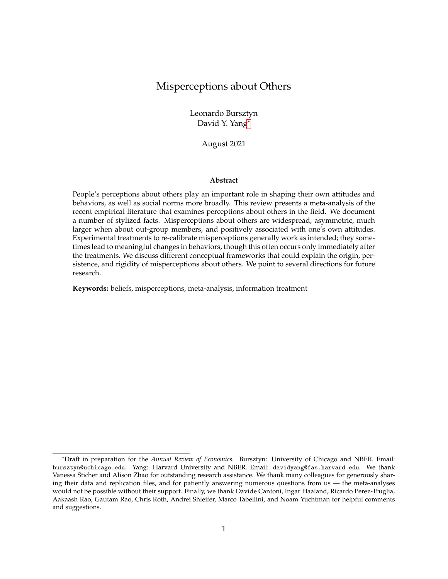designs may reduce concerns on anchoring due to multiple rounds of belief elicitation, and may also alleviate, at least in part, concerns over experimenters' demand effect.

#### IV.A Treatment to re-calibrate misperceptions generally works

Can experimental treatments effectively change respondents' perceptions about others? To measure changes in beliefs due to the experimental treatments across papers, we develop a metric to measure relative belief changes. We standardize the beliefs to the same scale (0-100), then calculate the differences between posterior beliefs and prior beliefs, relative to the level of prior beliefs. We carry out this calculation within-subject when experimental design allows for such analysis, and across-subject between treatment and control group if otherwise. We re-order the directions in which changes in beliefs take place, so that positive changes can be interpreted as successful beliefs movements towards the intended directions across papers. For example, if in a study where respondents are overestimating in their beliefs about others, and a treatment is assigned to move respondents closer to the truth and thus posterior beliefs are moved downward, we ip the sign of belief changes — a relative change of 0.5 in this case would indicate that posterior beliefs have shifted downward by 50% relative to the level of prior beliefs.

When studies in addition measure the truth of perceptions about others, we develop a second measure of treatment effects of beliefs changes based on belief convergence towards the truth. Similar to the rst measure, we carry out this calculation within-subject when possible, and acrosssubject otherwise. In order to homogenize such measure across papers, we again turn this to a relative measure, and positive numbers always indicate belief movements toward the truth. For example, a 50% convergence to the truth indicates that the treatment induces the treated subjects to update their perceptions about others (relative to their priors when relevant) half way towards the truth.

Figure 6, Panel A, plots the experimental treatment effects on changes in perceptions relative to the perceptions held prior to the treatment; and Panel B plots the treatment effects on changes in perceptions relative to truth in the corresponding dimensions (see Appendix Figure A.9 for treatment effects on both primary and secondary beliefs elicited in the studies). One observes that for all papers except for one, experimental treatments generate changes in respondents' perceptions about others along the intended direction.  $10$  In other words, treatment in general does not induce back re in beliefs about others. This stands in contrast with the small but emerging literature that documents cases of back re in response to explicit attempts to shape individuals' beliefs and attitudes (e.g., Fouka, 2020).

The magnitude of changes in perceptions induced by the experimental treatments varies across papers. In nearly one third of the studies, perceptions about others shifted by more than 50% rel-

 $10A$ shraf et al. (2020) is the only study in which treatment generates changes in perceptions toward the opposite direction. This study elicits parents' beliefs about their daughters' abilities when studying how interpersonal skills facilitate intergenerational investment. Among the several beliefs they elicited, parents' assessment of girls' abilities relative to other classmates decreased after a negotiation training program.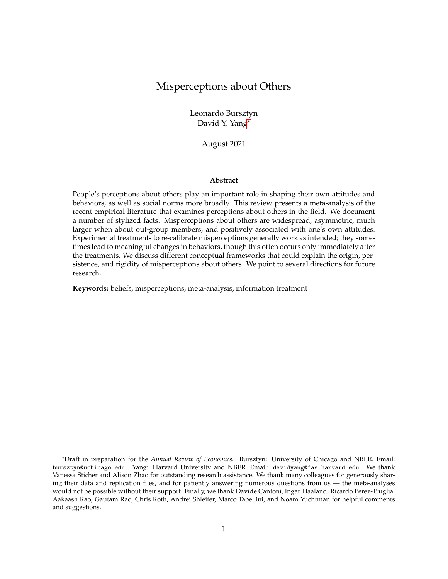Figure 6: The gure displays the experimental treatment effects on perceptions about others (focused on the primary belief of each paper). Panel A shows belief changes relative to prior beliefs. Positive changes indicate that beliefs move in directions matched with the treatment intentions. Panel B shows the belief changes relative to true beliefs. Duration is "immediate" if the prior and posterior beliefs are elicited in the same round of survey, and "delayed" if the prior and posterior beliefs are elicited in separate surveys with time lags. A treatment is "qualitative" if it is in the form of narrative or training, and "quantitative" if it provides respondents statistics or the access to statistics. The mark "inc" indicates belief elicitation that are incentivized; and the mark "ag" indicates studies where belief changes are calculated at the aggregate level (across-subject). The mark \* indicates the effects of a cross-randomized treatment arm on the same outcome that allows for within-person analysis.

ative to the levels of prior beliefs, and around half of the studies nd changes in perceptions by 25%. While full convergence to truth is uncommon, in about half of the studies, experimental treatment move treated subjects' posterior beliefs at least half of the way towards the truth, corresponding to a substantial re-calibration of perceptions about others. In ve studies, treatments generate over-correction of beliefs — perceptions about others move too much and resulted in misperceptions in the opposite direction.

It is important to note that levels of aggregation make a signi cant difference to the identi ed effect sizes. Studies that exhibit moderate (or even minimal) magnitudes of changes in perceptions are almost entirely concentrated among those that only across-subject comparisons are feasible.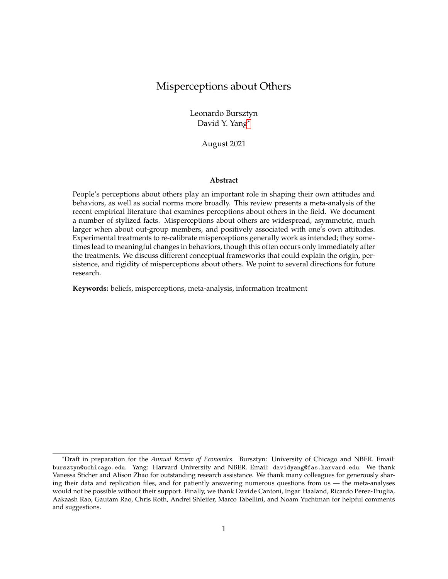Depending on the distribution of prior beliefs relative to the treatment provided, the aggregate changes in perceptions could appear mechanically small if the treated subjects whose beliefs move upward and those whose beliefs move downward cancel each other out in aggregate; this could be the case even when beliefs may have changed substantially within-subject.<sup>11</sup> As shown in Appendix Figure A.10, accounting for beliefs changes in aggregate considerably decreases the treatment effect sizes among the studies that have shown large effects within-subject. Nonetheless, it is also likely changes in perceptions may indeed be moderate in the domains that these studies focus on and the effect sizes would appear small even if belief changes are calculated withinsubject. Future studies could help resolve such ambiguity by converging on experimental designs that elicit priors and thus allowing for both within-subject and across-subject comparisons. In the following section, we investigate what may account for the differences in treatment effect magnitudes on re-calibrating beliefs about others.

#### IV.B Qualitative/narrative treatment tends to have larger effects

We next examine whether the magnitude of treatment effects on perceptions re-calibration depends on the nature of the treatment content.

The experimental treatments in the existing literature typically falls under two broad categories in terms of treatment content. In vast majority of the studies, the treated subjects are provided with direct information about others. The information may be statistical, revealing the true summary statistics on the characteristics and opinions of others. For example, Jørgensen and Osmundsen (2020) provide Danish citizens with correct information about non-Western immigrants' crime rates and welfare dependency rates in order to change their beliefs about non-Western immigrants.

A small number of studies (6 among the studies we examine) feature treatments that are qualitative and narrative in nature. Rather than presenting quantitative information, these treatments aim to inuence respondents perceptions about others with narratives, anecdotes, vignettes, or "immersive experiences" such as pair-wise matching, games, and speci-c training. Among the studies that we examine, Beaman et al. (2009) study how the exposure to female village council leader inuence people's perceptions about women's leader effectiveness and their genderoccupation stereotypes; López-Pérez and Ramirez-Zamudio (2020) present the anecdote that the -rm of a famous Peruvian Olympic medalist pays its taxes punctually to elicit people's beliefs about the average donations by others; Jensen and Oster (2009) estimate the introduction of cable TV on women's beliefs about their domestic and social status; Ashraf et al. (2020) study how the provision of negotiation training for girls impact parents' beliefs about their daughters' abilities and behaviors; Kendall, Nannicini and Trebbi (2015) inform people of slogans about competence and political stance of the city manager; and Turetsky and Sanderson (2018) engage students into stress management intervention programs to convince them mental health problems on campus

<sup>&</sup>lt;sup>11</sup>Coffman, Featherstone and Kessler (2015) demonstrate this point explicitly in a model of information nudges.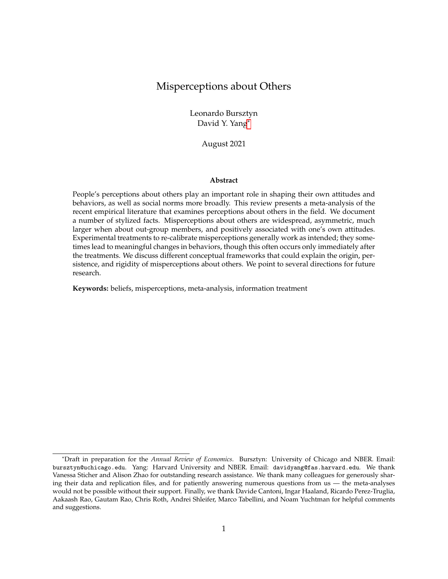are more prevalent than they initially believe.

We distinguish studies using qualitative versus quantitative treatment contents in Figure 6, where darker (lighter) shaded dots indicate effects of studies using quantitative (qualitative) treatments. One observes that studies using qualitative treatment contents tend to generate larger effects on treated respondents' beliefs about others: 3 out of 6 studies that use that type of treatment exhibit above median treatment effect sizes. Moreover, the relatively large effects generated by the qualitative treatments are particularly pronounced if the belief elicitation is delayed, rather than immediately after the experimental treatment or shortly after within the same survey module (distinguished by squares and triangles in Figure 6). This suggests the plausibility of interaction between endogenous memory on information (e.g., Zimmermann 2020) and the nature of the content regarding others.

The patterns described above are inconclusive given the small number of observations, and the lack of cross-randomization on experimental design features — there are differences in many other aspects across studies beyond the qualitative and quantitative content. Hence, in future research, there is ample scope for incorporating qualitative treatments into the experimental design and for precisely identifying the differences between quantitative and qualitative content in shifting beliefs, contributing to the emerging interests in narratives among economists in recent years (e.g. Shiller 2020; Benabou, Falk and Tirole 2020).

IV.C Re-calibrating misperceptions affects behaviors, particularly if immediately after the intervention

Having examined the experimental treatments' effects on re-calibrating respondents' perceptions about others, we now investigate the treatment effects on behaviors.

We focus on behaviors directly associated with the perceptions about others that the treatments are intended to in uence — often these behaviors are the primary focus of the study.  $12$  For example, in Bursztyn, González and Yanagizawa-Drott (2020), the primary behavior of interest is husbands' willingness to sign up their wives for a job service in response to potential changes in beliefs about social norms on women working outside the home; and in Cantoni et al. (2019), the primary behavior is citizens' participation in anti-authoritarian protest in response to potential changes in beliefs about others' protest participation. While many papers examine changes in actual behaviors, either directly observed or self-reported, some papers focus on intended behaviors often elicited immediately after the experimental treatments.

"Persuasion rate," rst developed by DellaVigna and Kaplan (2007), provides a standardized measure to compare treatment effects' magnitudes across papers. Speci cally, for each paper in-

<sup>&</sup>lt;sup>12</sup>A number of papers included in this part of the analysis do not elicit (posterior) beliefs about others, but rather, only elicit the corresponding behaviors. For example, Flory, Leibbrandt and List (2015) observe job seekers' application decisions in response to different gender beliefs; and Ferraro and Price (2013) examine residents' water use habits when receiving technical advice and a message that appealed to pro-social preferences in the community.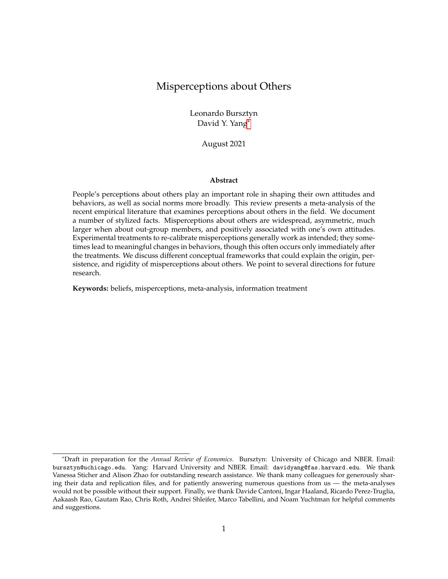Figure 7: This gure displays the persuasion rates of different treatments. We restrict the samples to the primary beliefs in the studies. Duration is "Immediate" if the prior and posterior beliefs are elicited in the same round of survey, and "Delayed" if the prior and posterior beliefs are elicited in separate surveys. The mark \* indicates the treatment effects of a cross-randomized treatment arm on the same outcome.

volving experimental treatment on behaviors, we estimate the following metric:

$$
f = 100 \quad \frac{y_T}{e_T} \frac{y_C}{e_C} \frac{1}{1 - y_0},
$$

where  $y_T$  y<sub>C</sub> is the difference in behavior between treatment and control groups, y<sub>0</sub> is the behavior at the status quo (which is captured by  $y_c$  in studies that do not measure behaviors prior to treatment), and  $e_T$   $e_C$  is the difference in the shares of subjects exposed to the treatment between treatment and control groups. Intuitively, this measure captures the changes in behaviors (standardized into binary terms) among those who are exposed to the treatments that re-calibrate perceptions about others. The magnitude of behavioral changes is adjusted based on the proportion of respondents who have not yet adopted the behavior in the status quo (either in the control group, or prior to the treatment interventions), capturing the upper bound of changes in behaviors to be expected to happen.

Figure 7 presents persuasion rates on the primary behaviors elicited across the examined studies (see Appendix Figure A.11 for persuasion rates on the secondary behaviors when multiple behaviors of interests are measured). The persuasion rates of treatments that re-calibrate perceptions about others on corresponding behaviors range from 0 to 50%. Similar to the patterns observed in Section IV.A, all studies examined here exhibit positive persuasion rates, indicating that there is little evidence of behavioral backlash on average. About half of the studies nd persuasion rates above 10% — benchmarked against other studies that examine effects of persuasion on political and economic behaviors, such magnitude of persuasion rates is large (see DellaVigna and Gentzkow, 2010 for a review of the empirical persuasion literature).

We next distinguish whether the behavioral outcomes are elicited immediately after the treatment inventions (i.e., in the same survey or experimental module; marked in triangles in Figure 7), or with a time lag (i.e., in different modules that take place after the interventions; marked in squares). One can observes that the vast majority of the studies that document persuasion rates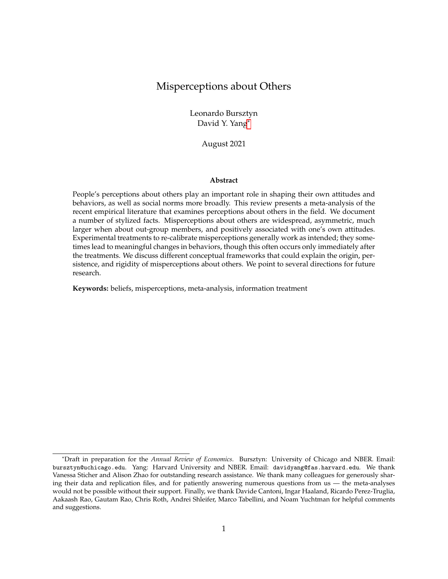above 10% focus on behavioral outcomes immediately after the intervention, and many studies examining lagged behavioral outcomes yield moderate or even close to zero persuasion rates.<sup>13</sup>

There are several potential interpretations for this pattern. First, studies differ in many other aspects beyond the immediacy of behavioral outcomes, and very few studies examine changes in behaviors both in short and long run after treatment inventions. For example, behavioral outcomes studied with a time lag are more likely to be in the domain of politics (see Appendix Figure A.13). Second, even if both short and long run behavioral changes are elicited within the same study context, it can be challenging to distinguish whether behaviors are indeed dif-cult to change especially in the long run, or the changes in perceptions induced by the treatment inventions have eroded over time (e.g., Gerber et al., 2020). Perceptions about others might shift signi cantly between the time when treatments take place and when behaviors occur, due to reasons such as regression to the mean, biased recall or motivated memory (e.g., Bordalo, Gennaioli and Shleifer 2020). Examining the timing and evolution of beliefs updating about others in response to information shocks, and the dynamics of behavioral changes tracked with belief changes throughout the relevant time frame can be an important direction for future research.

If we take at face value the moderate to minimum behavioral changes with a time lag after the treatment interventions, such magnitude stands in contrast with relatively large effects of experimental treatments on perceptions about others. This would suggest a rigidity in the mapping between (stated) perceptions of others and relevant behaviors. One possibility is that even though stated beliefs may have changed, the deeper underlying drivers of behavior have not. For example, consider someone who is opposed to an out-group (e.g., immigrants). That person may have originally incorrectly believed that immigrants commit crimes at a very high rate. Correcting this misperception might affect this particular belief. However, the person may decide to rely on a different set of incorrect beliefs (e.g., immigrants "steal" jobs) to maintain their negative views on and behaviors toward immigrants. Understanding the ultimate source of misperceptions (such as motivated beliefs) and the extent to which misperception correction may spill over to other beliefs are important avenues for future research that can help understand the potential for informational interventions to affect behaviors beyond the immediate short run.

# V Conclusion and Looking Ahead

In recent years, a growing number of papers have examined the causes and consequences of misperceptions about others in the eld. In this review, we survey this literature and document six stylized facts concerning the patterns of misperceptions about others and re-calibrating such misperceptions using experimental treatments.

Many open questions remain. We now describe several important directions for future re-

 $13$ Appendix Figure A.12 also distinguish the persuasion rates based on whether the studies feature within-subject or across-subject treatment design, and whether the treatments are qualitative or quantitative in nature.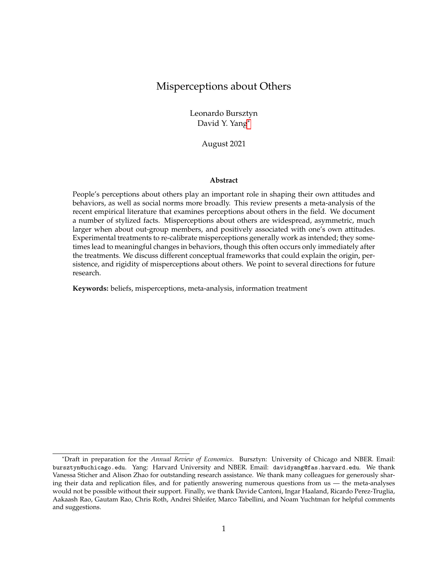search. First, more work is needed to explicitly identify the sources of misperceptions. There are many more studies that investigate beliefs about others in laboratory environments, and it would be a fruitful effort to map these beliefs into eld context. Extending the examination of beliefs about others in a broader range of domains would also inform us about whether misperceptions are omnipresent, or if there exists areas in which perceptions about others are well-calibrated. This could be shed light on the reasons why misperceptions emerge. Moreover, theoretically grounded investigations on the sources of misperceptions would have great value — for example, studies that incorporate designs that explicitly rule in and rule out existing theories. The patterns that we document may also generate additional theoretical frameworks to understand the origin of misperceptions — for example, models that generate asymmetry in misperceptions or models that explicitly incorporate supply-side factors could be promising to account for a number of regularities of beliefs documented in the literature.

Second, more work is needed to understand the different ways in which misperceptions can be re-calibrated, and under what conditions such re-calibrated misperception may actually lead to behavioral changes. Investigations on the sources of misperception more grounded in theory could inform us about the elasticities of such misperception with respect to treatments of various nature. Systematically comparing different treatment designs (e.g., quantitative vs. narrative content) to correct misperceptions would greatly enhance our understanding of misperceptions in general. Moreover, to the extent that belief updating itself cannot re-calibrate the deeper underlying factors that drive misperceptions in the rst place, treatments of very different nature may be needed to induce behavioral changes. For example, would providing opportunities to guide reasoning and improve empathy be a more powerful tool to re-calibrate misperceptions about others?

We also note that much of the existing work does not explore the dynamics and the evolution of both belief changes and behavioral responses. This would be an important avenue for future research, since mechanisms such as selective memory and attribution errors may interact with the largely cross-sectional patterns of misperceptions that the literature has documented thus far. For example, is quantitative information provided to respondents more easily forgotten than qualitative narratives? Is memory about perceptions about others motivated (e.g., a la beliefs about oneself as documented by Zimmermann 2020)? Do people seek biased information along their original priors, after the experimental treatment has re-calibrated their beliefs?

Third, an important direction for future research is to consider the welfare implications of widespread misperceptions and of their correction. One such normative consideration — which is out of the scope of the existing literature — is to examine whether informing people about the true state of the world to re-calibrate perceptions about others is always desirable. To the extent that authoritarian regimes may manage to sustain political control via manipulation of citizens' perceptions of each other (e.g., Kuran 1997), would policies that induce certain perceptions about others be able to generate political changes that expand political rights and freedom to more peo-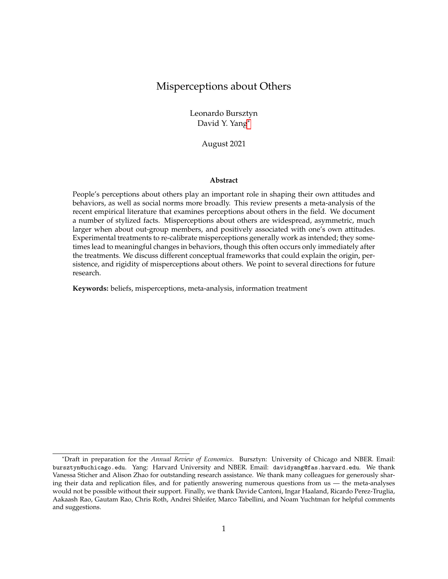ple in the world? To the extent that misperception might be self-ful lling, can policy be designed to "engineer" misperceptions that lead to more socially desirable outcomes (e.g., in the contexts of racial tolerance and gender equality)?

We look forward to the exciting future research that extends this literature and answers some of these open questions.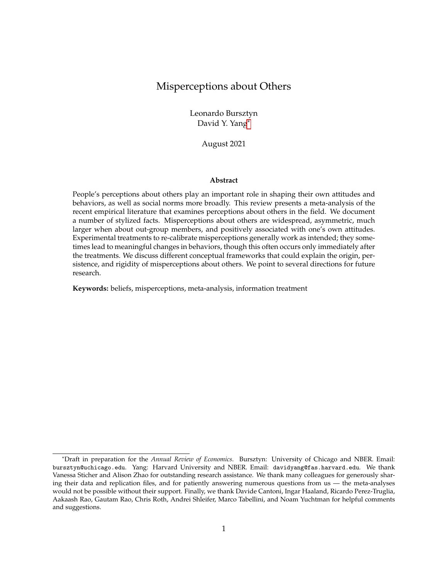# References

- Ahler, Douglas J. 2014. "Self-Ful lling Misperceptions of Public Polarization." The Journal of Politics, 76(3): 607–620.
- Ahler, Douglas J., and Gaurav Sood. 2018. "The Parties in Our Heads: Misperceptions about Party Composition and Their Consequences." The Journal of Politic \$0(3): 964–981.
- Alesina, Alberto, Armando Miano, and Stefanie Stantcheva. 2018. "Immigration and Redistribution." National Bureau of Economic Research Working Paper 24733.
- Allcott, Hunt. 2011. "Social Norms and Energy Conservation." Journal of Public Economic 95(9-10): 1082–1095.
- Allcott, Hunt, Luca Braghieri, Sarah Eichmeyer, and Matthew Gentzkow. 2020. "The Welfare Effects of Social Media." American Economic Review 10(3): 629-676.
- Allen, James, Arlete Mahumane, James Riddell, Tanya Rosenblat, Dean Yang, and Hang Yu. 2021. "Correcting Perceived Social Distancing Norms to Combat COVID-19." National Bureau of Economic Research Working Paper 28651.
- Anders, Jenna, and Charlie Rafkin. 2021. "The Welfare Effects of Eligibility Expansions: Theory and Evidence from SNAP." Working Paper.
- Ashraf, Nava, Natalie Bau, Corinne Low, and Kathleen McGinn. 2020. "Negotiating a Better Future: How Interpersonal Skills Facilitate Intergenerational Investment." The Quarterly Journal of Economics 135(2): 1095-1151.
- Ayalew, Shibiru, Shanthi Manian, and Ketki Sheth. 2021. "Discrimination from Below: Experimental Evidence from Ethiopia." Journal of Development Economic51: 102653.
- Balafoutas, L., A. Beck, R. Kerschbamer, and M. Sutter. 2013. "What Drives Taxi Drivers? A Field Experiment on Fraud in a Market for Credence Goods." The Review of Economic Studies , 80(3): 876–891.
- Beaman, Lori, Raghabendra Chattopadhyay, Esther Du o, Rohini Pande, and Petia Topalova. 2009. "Powerful Women: Does Exposure Reduce Bias?" Quarterly Journal of Economics, 124(4): 1497–1540.
- Benabou, Roland, and Jean Tirole. 2016. "Mindful Economics: The Production, Consumption, and Value of Beliefs." Journal of Economic Perspectiv<sup>86</sup>(3): 141-164.
- Benabou, Roland, Armin Falk, and Jean Tirole. 2020. "Narratives, Imperatives, and Moral Persuasion." IZA - Institute of Labor Economics Working Paper 11665.
- Bergman, Peter. 2020. "Parent-Child Information Frictions and Human Capital Investment: Evidence from a Field Experiment." Journal of Political Economy 29(1): 286–322.
- Bergolo, Marcelo L., Martin Leites, Ricardo Perez-Truglia, and Matias Strehl. 2020. "What Makes a Tax Evader?" National Bureau of Economic Research Working Paper 28235.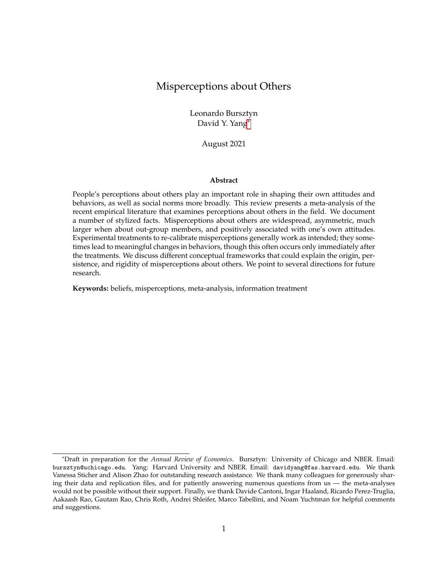- Bernhardt, Arielle, Erica Field, Rohini Pande, Natalia Rigol, Simone Schaner, and Charity Troyer-Moore. 2018. "Male Social Status and Women's Work." AEA Papers and Proceedings , 108: 363–367.
- Bonomi, Giampaolo, Nicola Gennaioli, and Guido Tabellini. 2021. "Identity, Beliefs, and Political Con ict." Social Science Research Network Working Paper.
- Bordalo, Pedro, Katherine Coffman, Nicola Gennaioli, and Andrei Shleifer. 2016. "Stereotypes." The Quarterly Journal of Economict 31(4): 1753–1794.
- Bordalo, Pedro, Katherine Coffman, Nicola Gennaioli, and Andrei Shleifer. 2019. "Beliefs about Gender." American Economic Review09(3): 739-773.
- Bordalo, Pedro, Marco Tabellini, and David Y. Yang. 2020. "Stereotypes and Politics." Social Science Research Network Working Paper.
- Bordalo, Pedro, Nicola Gennaioli, and Andrei Shleifer. 2020. "Memory, Attention, and Choice." The Quarterly Journal of Economict 35(3): 1399-1442.
- Bottan, Nicolas L., and Ricardo Perez-Truglia. 2020. "Choosing Your Pond: Location Choices and Relative Income." The Review of Economics and Statistics46.
- Braghieri, Luca. 2021. "Political Correctness, Social Image, and Information Transmission." Working Paper.
- Broockman, David E., and Christopher Skovron. 2018. "Bias in Perceptions of Public Opinion among Political Elites." American Political Science Revie M 2(3): 542-563.
- Bullock, John G., Alan S. Gerber, Seth J. Hill, and Gregory A. Huber. 2015. "Partisan Bias in Factual Beliefs about Politics." Quarterly Journal of Political Scienc #0(4): 519–578.
- Bursztyn, Leonardo, Alessandra L. González, and David Yanagizawa-Drott. 2020. "Misperceived Social Norms: Women Working Outside the Home in Saudi Arabia." American Economic Review, 110(10): 2997–3029.
- Bursztyn, Leonardo, and Lucas C. Coffman. 2012. "The Schooling Decision: Family Preferences, Intergenerational Con ict, and Moral Hazard in the Brazilian Favelas." Journal of Political Economy, 120(3): 359–397.
- Bursztyn, Leonardo, Georgy Egorov, and Stefano Fiorin. 2020. "From Extreme to Mainstream: The Erosion of Social Norms." American Economic Review10(11): 3522-3548.
- Bursztyn, Leonardo, Ruben Enikolopov, Georgy Egorov, and Maria Petrova. 2020. "Social Media and Xenophobia: Evidence from Russia." Working Paper.
- Bursztyn, Leonardo, Thomas Chaney, Tarek A Hassan, and Aakaash Rao. 2021. "The Immigrant Next Door: Exposure, Prejudice, and Altruism." Working Paper.
- Camerer, Colin, George Loewenstein, and Martin Weber. 1989. "The Curse of Knowledge in Economic Settings: An Experimental Analysis." Journal of Political Econom, 97(5): 1232–1254.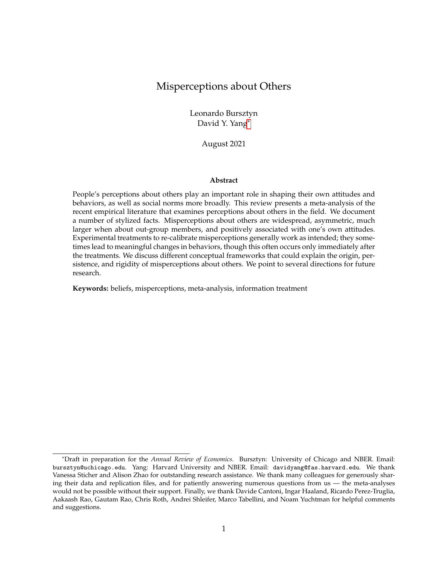- Cantoni, Davide, David Y Yang, Noam Yuchtman, and Y Jane Zhang. 2017. "The Fundamental Determinants of Anti-Authoritarianism." Working Paper.
- Cantoni, Davide, David Y Yang, Noam Yuchtman, and Y Jane Zhang. 2019. "Protests as Strategic Games: Experimental Evidence from Hong Kong's Antiauthoritarian Movement." The Quarterly Journal of Economics 34(2): 1021-1077.
- Carlana, Michela. 2019. "Implicit Stereotypes: Evidence from Teachers' Gender Bias." The Quarterly Journal of Economics 34(3): 1163-1224.
- Carlson, Taylor N., and Seth J. Hill. 2021. "Experimental Measurement of Misperception in Political Beliefs." Journal of Experimental Political Sciende 14.
- Cassar, Alessandra, Giovanna d'Adda, and Pauline Grosjean. 2014. "Institutional Quality, Culture, and Norms of Cooperation: Evidence from Behavioral Field Experiments." The Journal of Law and Economic \$7(3): 821–863.
- Cavaille, Charlotte. 2017. "The Consequences of Moral Reasoning: Why Some Care More about Free Riding than Others and Why It Matters." Working Paper.
- Chambers, John R., and Darya Melnyk. 2006. "Why Do I Hate Thee? Conict Misperceptions and Intergroup Mistrust." Personality and Social Psychology Bullet \$2(10): 1295–1311.
- Chambers, John R., Robert S. Baron, and Mary L. Inman. 2006. "Misperceptions in Intergroup Con ict: Disagreeing About What We Disagree About." Psychological Science7(1): 38-45.
- Coffman, Lucas C., Clayton R Featherstone, and Judd B Kessler. 2015. "A Model of Information Nudges." Working Paper.
- Coibion, Olivier, Yuriy Gorodnichenko, Saten Kumar, and Jane Ryngaert. 2021. "Do You Know that I Know that You Know. . . ? Higher-Order Beliefs in Survey Data." The Quarterly Journal of **Economics**
- Cruces, Guillermo, Ricardo Perez-Truglia, and Martin Tetaz. 2013. "Biased Perceptions of Income Distribution and Preferences for Redistribution: Evidence from a Survey Experiment." Journal of Public Economic<sup>98:</sup> 100–112.
- Cullen, Zoë, and Ricardo Perez-Truglia. 2018. "How Much Does Your Boss Make? The Effects of Salary Comparisons." National Bureau of Economic Research Working Paper 24841.
- Dal Bó, Ernesto, Pedro Dal Bó, and Erik Eyster. 2018. "The Demand for Bad Policy when Voters Underappreciate Equilibrium Effects." The Review of Economic Studies (2): 964–998.
- DellaVigna, Stefano, and Ethan Kaplan. 2007. "The Fox News Effect: Media Bias and Voting." The Quarterly Journal of Economict 22(3): 1187-1234.
- DellaVigna, Stefano, and Matthew Gentzkow. 2010. "Persuasion: Empirical Evidence." Annual Review of Economic $g(1)$ : 643–669.
- Distelhorst, Greg, and Yue Hou. 2014. "Ingroup Bias in Of cial Behavior: A National Field Experiment in China." Quarterly Journal of Political Scienc8(2): 203-230.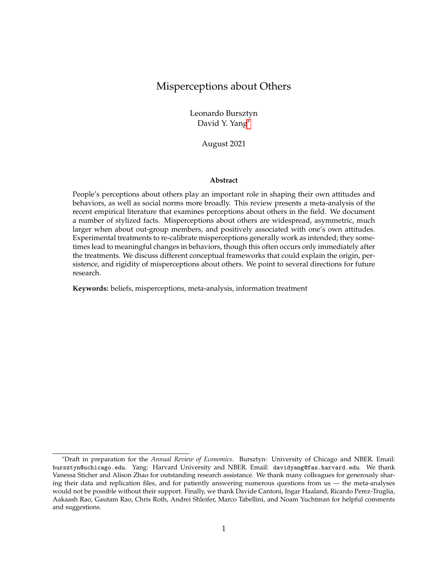- Di Tella, Rafael, Ricardo Perez-Truglia, Andres Babino, and Mariano Sigman. 2015. "Conveniently Upset: Avoiding Altruism by Distorting Beliefs about Others' Altruism." American Economic Review105(11): 3416-3442.
- Dizon-Ross, Rebecca. 2019. "Parents' Beliefs about Their Children's Academic Ability: Implications for Educational Investments." American Economic Review 09(8): 2728-2765.
- Drouvelis, Michalis, and Benjamin Marx. 2021. "Can Charitable Appeals Identify and Exploit Belief Heterogeneity?" Social Science Research Network Working Paper 3774662.
- Enke, Benjamin, and Thomas Graeber. 2020. "Cognitive Uncertainty." National Bureau of Economic Research Working Paper 26518.
- Ewens, Michael, Bryan Tomlin, and Liang Choon Wang. 2014. "Statistical Discrimination or Prejudice? A Large Sample Field Experiment." The Review of Economics and Statist@8(1): 119-134.
- Fearon, JAMES D., MACARTAN Humphreys, and JEREMY M. Weinstein. 2015. "How Does Development Assistance Affect Collective Action Capacity? Results from a Field Experiment in Post-Con ict Liberia." The American Political Science Review 09(3): 450-469.
- Fedyk, Anastassia. 2021. "Asymmetric Naivete: Beliefs About Self-Control." Social Science Research Network Working Paper 2727499.
- Fehr, Dietmar, Johanna Mollerstrom, and Ricardo Perez-Truglia. 2019. "Your Place in the World: Relative Income and Global Inequality." National Bureau of Economic Research Working Paper 26555.
- Ferraro, Paul J., and Michael K. Price. 2013. "Using Nonpecuniary Strategies to Inuence Behavior: Evidence from a Large-Scale Field Experiment." The Review of Economics and Statistics 95(1): 64–73.
- Fischbacher, Urs, and Simon Gächter. 2010. "Social Preferences, Beliefs, and the Dynamics of Free Riding in Public Goods Experiments." American Economic Review00(1): 541–556.
- Flory, J. A., A. Leibbrandt, and J. A. List. 2015. "Do Competitive Workplaces Deter Female Workers? A Large-Scale Natural Field Experiment on Job Entry Decisions." The Review of Economic Studies, 82(1): 122–155.
- Fouka, Vasiliki. 2020. "Backlash: The Unintended Effects of Language Prohibition in U.S. Schools after World War I." The Review of Economic Studies (1): 204–239.
- Frank, Björn, and Günther G Schulze. 2000. "Does Economics Make Citizens Corrupt?" Journal of Economic Behavior & Organization, 43(1): 101–113.
- Frey, Bruno S., and Stephan Meier. 2004. "Social Comparisons and Pro-social Behavior: Testing "Conditional Cooperation" in a Field Experiment." American Economic Revie 04(5): 1717-1722.
- Garc´a-Pérez, Mónica. 2013. "Health Care Usage and Health Status of Immigrant Children: The Effects of Nativity versus Citizenship." American Economic Review 03(3): 412–417.
- Gentzkow, Matthew, and Jesse M. Shapiro. 2011. "Ideological Segregation Online and Of ine." The Quarterly Journal of Economict 26(4): 1799–1839.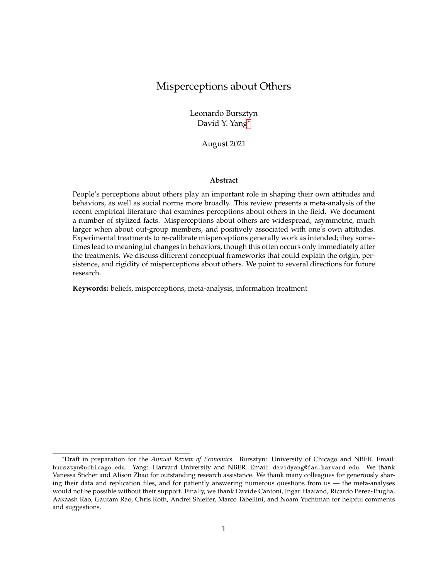- Gerber, Alan, Mitchell Hoffman, John Morgan, and Collin Raymond. 2020. "One in a Million: Field Experiments on Perceived Closeness of the Election and Voter Turnout." American Economic Journal: Applied Economict 2(3): 287–325.
- Glaeser, Edward L. 2005. "The Political Economy of Hatred." The Quarterly Journal of Economics , 120(1): 45–86.
- Graham, Jesse, Brian A. Nosek, and Jonathan Haidt. 2012. "The Moral Stereotypes of Liberals and Conservatives: Exaggeration of Differences across the Political Spectrum." PLoS ONE, 7(12): e50092.
- Grigorieff, Alexis, Christopher Roth, and Diego Ubfal. 2020. "Does Information Change Attitudes Toward Immigrants?" Demography57(3): 1117-1143.
- Haaland, Ingar, and Christopher Roth. 2021. "Beliefs about Racial Discrimination and Support for Pro-Black Policies." The Review of Economics and Statistics38.
- Haaland, Ingar, Christopher Roth, and Johannes Wohlfart. 2020. "Designing Information Provision Experiments." Social Science Research Network Working Paper.
- Hager, Anselm, Johannes Hermle, Lukas Hensel, and Christopher Roth. 2020. "Does Party Competition Affect Political Activism?" Social Science Research Network Working Paper.
- Hager, Anselm, Lukas Hensel, Johannes Hermle, and Christopher Roth. 2019. "Political Activists as Free-Riders: Evidence from a Natural Field Experiment." Social Science Research Network Working Paper 3488186.
- Hertel-Fernandez, Alexander, Matto Mildenberger, and Leah C. Stokes. 2019. "Legislative Staff and Representation in Congress." American Political Science RevietM3(1): 1–18.
- Holm, Hakan J., Victor Nee, and Sonja Opper. 2020. "Strategic Decisions: Behavioral Differences between CEOs and Others." Experimental Economic 23(1): 154-180.
- Hopkins, Daniel J., John Sides, and Jack Citrin. 2018. "The Muted Consequences of Correct Information about Immigration." The Journal of Politic \$1(1): 315–320.
- Hvidberg, Kristoffer B., Claus Kreiner, and Stefanie Stantcheva. 2020. "Social Position and Fairness Views." National Bureau of Economic Research Working Paper 28099.
- Iyengar, Shanto, Yphtach Lelkes, Matthew Levendusky, Neil Malhotra, and Sean J. Westwood. 2019. "The Origins and Consequences of Affective Polarization in the United States." Annual Review of Political Scienc<sup>2</sup>2(1): 129-146.
- Jensen, Robert. 2010. "The (Perceived) Returns to Education and the Demand for Schooling." Quarterly Journal of Economic \$25(2): 515–548.
- Jensen, Robert, and Emily Oster. 2009. "The Power of TV: Cable Television and Women's Status in India." Quarterly Journal of Economic \$24(3): 1057–1094.
- Jørgensen, Frederik Juhl, and Mathias Osmundsen. 2020. "Correcting Citizens' Misperceptions about non-Western Immigrants: Corrective Information, Interpretations, and Policy Opinions." Journal of Experimental Political Sciende 10.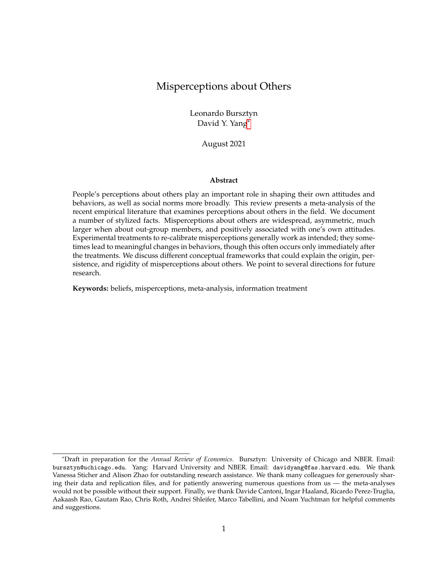- Karing, Anne. 2021. "Social Signaling and Childhood Immunization: A Field Experiment in Sierra Leone." Working Paper.
- Kendall, Chad, Tommaso Nannicini, and Francesco Trebbi. 2015. "How Do Voters Respond to Information? Evidence from a Randomized Campaign." American Economic Review 05(1): 322– 353.
- Kinsler, Josh, and Ronni Pavan. 2021. "Local Distortions in Parental Beliefs over Child Skill." Journal of Political Economy 29(1): 81-100.
- Koutout, Kristine. 2020. "Gendered Beliefs and the Job Application Decision: Evidence from a Large-Scale Field and Lab Experiment." Working Paper.
- Kuklinski, James H., Paul J. Quirk, Jennifer Jerit, David Schwieder, and Robert F. Rich. 2000. "Misinformation and the Currency of Democratic Citizenship." The Journal of Politics62(3): 790– 816.
- Kuran, Timur. 1997. Private Truths, Public LiesHarvard University Press: Cambridge MA.
- Lapinski, Maria Knight, Erin K. Maloney, Mary Braz, and Hillary C. Shulman. 2013. "Testing the Effects of Social Norms and Behavioral Privacy on Hand Washing: A Field Experiment." Human Communication Researche(1): 21-46.
- Lawrence, Eric D, and John Sides. 2014. "The Consequences of Political Innumeracy." Research & Politics, 1(2).
- Levendusky, Matthew S., and Neil Malhotra. 2016. "(Mis)perceptions of Partisan Polarization in the American Public." Public Opinion Quarterly, 80(S1): 378–391.
- Levy, Ro'ee. 2021. "Social Media, News Consumption, and Polarization: Evidence from a Field Experiment." American Economic Review11(3): 831-870.
- López-Pérez, Raúl, and Aldo Ramirez-Zamudio. 2020. "An Experimental Test of Two Policies to Increase Donations to Public Projects." International Review of Law and Economics : 105892.
- Madarász, Kristóf. 2012. "Information Projection: Model and Applications." The Review of Economic Studies79(3): 961-985.
- Mildenberger, Matto, and Dustin Tingley. 2019. "Beliefs about Climate Beliefs: The Importance of Second-Order Opinions for Climate Politics." British Journal of Political Science 9(4): 1279-1307.
- Mukherjee, Priya. 2017. "The Effects of Social Identity on Aspirations and Learning Outcomes: A Field Experiment in Rural India." ICG Working Paper S-35120-INC-7.
- Nair, Gautam. 2018. "Misperceptions of Relative Afuence and Support for International Redistribution." The Journal of Politics00(3): 815–830.
- Nyhan, Brendan. 2020. "Facts and Myths about Misperceptions." Journal of Economic Perspectives , 34(3): 220–236.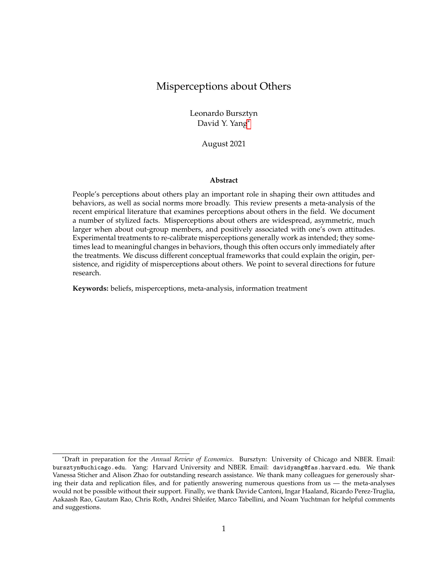- Ouazad, Amine, and Lionel Page. 2013. "Students' Perceptions of Teacher Biases: Experimental Economics in Schools." Journal of Public Economic\$05: 116-130.
- Reyes, Sandra Polania. 2018. "Coordination as an Unintended Bene t: Lab-in-the-Field Evidence from a Conditional Cash Transfer Program." Vniversitas Econ ómica Working Paper Vol. 18 No. 9.
- Robbins, Jordan M., and Joachim I. Krueger. 2005. "Social Projection to Ingroups and Outgroups: A Review and Meta-Analysis." Personality and Social Psychology Review ): 32–47.
- Robinson, Carly D., Monica G. Lee, Eric Dearing, and Todd Rogers. 2018. "Reducing Student Absenteeism in the Early Grades by Targeting Parental Beliefs." American Educational Research Journal, 55(6): 1163–1192.
- Rogers, Todd, and Avi Feller. 2018. "Reducing Student Absences at Scale by Targeting Parents' Misbeliefs." Nature Human Behaviour 2(5): 335-342.
- Sabarwal, Shwetlena, Kanishka Kacker, and James Paul Habyarimana. 2018. "Better Than Most: Teacher Beliefs about Effort and Ability in Uganda." World Bank Policy Research Working Paper 8440.
- Schindler, David, and Mark Westcott. 2021. "Shocking Racial Attitudes: Black G.I.s in Europe." The Review of Economic Studies (1): 489-520.
- Shiller, Robert J. 2020.Narrative Economics: How Stories Go Viral and Drive Major Economic Events. Princeton University Press: Princeton, NJ.
- Tanaka, Tomomi, and Colin F. Camerer. 2016. "Trait Perceptions In uence Economic Out-group Bias: Lab and Field Evidence from Vietnam." Experimental Economics 9(3): 513–534.
- Turetsky, Kate M., and Catherine A. Sanderson. 2018. "Comparing Educational Interventions: Correcting Misperceived Norms Improves College Students' Mental Health Attitudes." Journal of Applied Social Psychology 8(1): 46–55.
- Wenzel, Michael. 2005. "Misperceptions of Social Norms about Tax Compliance: From Theory to Intervention." Journal of Economic Psycholo@86(6): 862-883.
- Williamson, Scott. 2020. "Countering Misperceptions to Reduce Prejudice: An Experiment on Attitudes toward Muslim Americans." Journal of Experimental Political Scien@ (3): 167–178.
- Wiswall, Matthew, and Basit Zafar. 2015. "Determinants of College Major Choice: Identi cation using an Information Experiment." The Review of Economic Studies (2): 791-824.
- Yang, Dean, James Allen, Arlete Mahumane, James Riddell, and Hang Yu. 2021. "Knowledge, Stigma, and HIV Testing: An Analysis of a Widespread HIV/AIDS Program." National Bureau of Economic Research Working Paper 28716.
- Yu, Hang. 2019. "Social Stigma as a Barrier to HIV Testing: Evidence from a Randomized Experiment in Mozambique." Working Paper.
- Zimmermann, Florian. 2020. "The Dynamics of Motivated Beliefs." American Economic Review, 110(2): 337–361.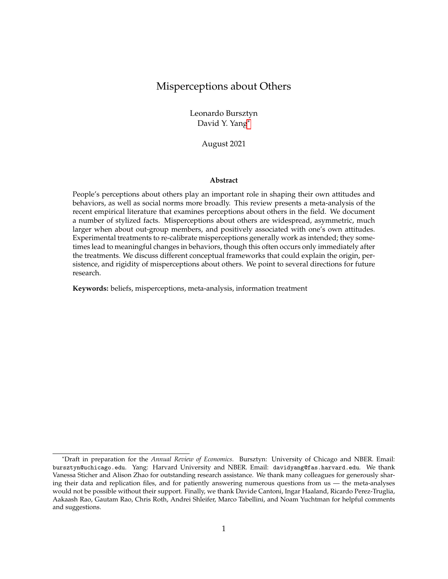# A APPENDIX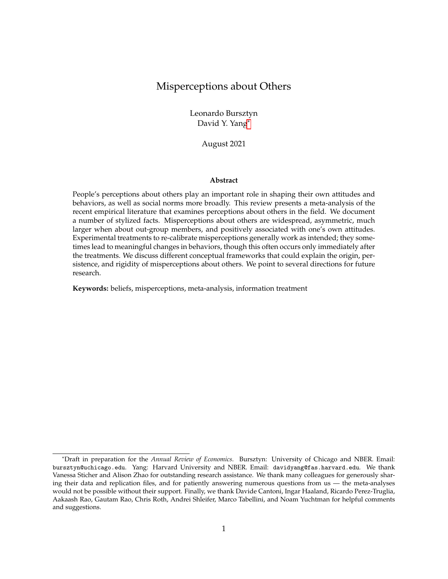| Label         | Paper                                                   | Context                                                  | N      | Primary beliefs                                           | Treatment |
|---------------|---------------------------------------------------------|----------------------------------------------------------|--------|-----------------------------------------------------------|-----------|
| $A-14$        | Ahler (2014)                                            | voters in California                                     | 2,444  | partisan differerences in political opinions              | no        |
| <b>ABL-20</b> | Ashraf et al. (2020)                                    | parents in Zambia                                        | 3,146  | daughter's ability and behavior                           | yes       |
| <b>AMR-21</b> | Yang et al. (2021)                                      | households in Mozambique                                 | 2,412  | support for social distancing during COVID-19<br>pandemic | yes       |
| <b>AMS-18</b> | Alesina, Miano and Stantcheva<br>(2018)                 | non-immigrants in European coun-<br>tries and US         | 4,378  | immigrants' characteristics                               | yes       |
| <b>AMS-21</b> | Ayalew,<br>Manian and Sheth<br>(2021)                   | university<br>staff<br>members<br>in<br>Ethiopia         | 304    | female and male leader's ability                          | yes       |
| AR-21         | Anders and Rafkin (2021)                                | US representative sample                                 | 2,131  | stigma about food stamps                                  | yes       |
| AS-18         | Ahler and Sood (2018)                                   | a sample of US population                                | 1,000  | party-stereotypical characteristics                       | no        |
| <b>BC-12</b>  | Bursztyn and Coffman (2012)                             | poor families in Brazil                                  | 210    | high school and college graduate wages                    | no        |
| <b>BCG-16</b> | Bordalo et al. (2016)                                   | self-identi ed liberals and conser-<br>vatives in the US | 2,000  | partisan differerences in political opinions              | no        |
| <b>BFP-18</b> | Bernhardt et al. (2018)                                 | married couples in India                                 | 3,815  | gender norms on women working                             | no        |
| <b>BGY-20</b> | González<br>Bursztyn,<br>and<br>Yanagizawa-Drott (2020) | married young men in Saudi Arabia                        | 500    | women working outside of home                             | yes       |
| <b>BLP-20</b> | Bergolo et al. (2020)                                   | taxpayers in Uruguay                                     | 6,078  | tax evasion behavior                                      | no        |
| <b>BPT-20</b> | Bottan and Perez-Truglia (2020)                         | senior medical students in the US                        | 1,080  | position in the income distribution                       | yes       |
| <b>BS-18</b>  | Broockman and Skovron (2018)                            | state legislative candidates in the<br>US                | 1,803  | public opinion about political issues                     | no        |
| <b>BTY-20</b> | Bordalo, Tabellini and Yang<br>(2020)                   | self-identi ed liberals and conser-<br>vatives in the US | 10,500 | partisan differerences in political opinions              | no        |
| <b>CGK-21</b> | Coibion et al. (2021)                                   | rm managers in New Zealand                               | 1,032  | in ation expectations                                     | yes       |
| CH-21         | Carlson and Hill (2021)                                 | US representative sample                                 | 3,253  | probability for voting for Trump                          | yes       |
| <b>CPT-13</b> | Cruces, Perez-Truglia and Tetaz<br>(2013)               | households in Argentina                                  | 1,100  | share of low income population                            | no        |
| <b>CPT-18</b> | Cullen and Perez-Truglia (2018)                         | employees at a Southeast Asian cor-<br>poration          | 2,060  | peers' and manager's salary                               | no        |
| <b>CYY-17</b> | Cantoni et al. (2017)                                   | students at an university in Hong<br>Kong                | 5,160  | anti-authoritarian attitudes                              | no        |
| CYY-19        | Cantoni et al. (2019)                                   | students at an university in Hong<br>Kong                | 1,234  | protest participations                                    | yes       |
| <b>DM-21</b>  | Drouvelis and Marx (2021)                               | US sample                                                | 382    | donations                                                 | yes       |

Table A.1: Overview of papers covered in meta-analyses (detailed)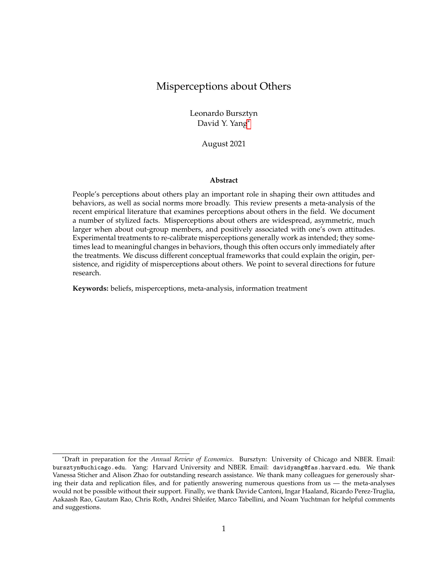| Label         | Paper                                                    | Context                                             | N      | Primary beliefs                                                         | Treatment |
|---------------|----------------------------------------------------------|-----------------------------------------------------|--------|-------------------------------------------------------------------------|-----------|
| <b>DR-19</b>  | Dizon-Ross (2019)                                        | households in Malawi                                | 2,634  | child's school performance                                              | yes       |
| $F-18$        | Fedyk (2021)                                             | students at an university in Califor-<br>nia        | 57     | present bias                                                            | no        |
| <b>FHW-15</b> | Fearon, Humphreys and Wein-<br>stein (2015)              | a sample of villagers in Liberia                    | 1,992  | project contribution                                                    | yes       |
| <b>FM-04</b>  | Frey and Meier (2004)                                    | university students in Switzerland                  | 2,500  | donations                                                               | yes       |
| <b>FMP-19</b> | Fehr, Mollerstrom and Perez-<br>Truglia (2019)           | Germany representative sample                       | 1,392  | position in the income distribution                                     | yes       |
| GHM-<br>20    | Gerber et al. (2020)                                     | US representative sample                            | 6,705  | closeness of elections, voting for Democratic or<br>Republican governor | yes       |
| <b>GNH-12</b> | Graham,<br>Nosek and Haidt<br>(2012)                     | US online sample                                    | 1,001  | partisan moral values                                                   | no        |
| <b>GRU-20</b> | Grigorieff,<br>Roth and Ubfal<br>(2020)                  | US online sample                                    | 1,193  | immigrants' characteristics                                             | yes       |
| <b>HFM-19</b> | Hertel-Fernandez,<br>Milden-<br>berger and Stokes (2019) | senior legislative staff in the US                  | 101    | constituents' political opinions                                        | yes       |
| HHH-<br>19    | Hager et al. (2019)                                      | party supporters in a Western Euro-<br>pean country | 1,411  | canvassing behavior during election campaign                            | yes       |
| <b>HNO-20</b> | Holm, Nee and Opper (2020)                               | CEOs and non-CEOs in China                          | 400    | CEOs' and non-CEOs' strategic decisions                                 | yes       |
| <b>HSC-18</b> | Hopkins, Sides and Citrin<br>(2018)                      | non-Hispanic Americans                              | 7,558  | size of immigrant population                                            | yes       |
| JO-09         | Jensen (2010)                                            | women in ve Indian states                           | 9,159  | women's status: acceptability of husband beat-<br>ing his wife          | yes       |
| JO-20         | Jørgensen<br>and<br>(2020)                               | Osmundsen Denmark representative sample             | 1,638  | immigrant's characteristics                                             | yes       |
| $K-21$        | Karing (2021)                                            | parents in Sierra Leone                             | 1,314  | child vaccination                                                       | yes       |
| <b>KNT-15</b> | Kendall, Nannicini and Trebbi<br>(2015)                  | voters in Italy                                     | 1,455  | politicians' ideology and competence                                    | yes       |
| <b>KP-21</b>  | Kinsler and Pavan (2021)                                 | US representative sample of parents                 | 21,409 | child's skills reading and math skills                                  | no        |
| $LM-16$       | Levendusky<br>and<br>Malhotra<br>(2016)                  | US representative sample                            | 510    | partisan differerences in political opinions                            | no        |
| <b>LMB-13</b> | Lapinski et al. (2013)                                   | male students at a US university                    | 80     | hand washing behavior                                                   | yes       |
| <b>LPR-20</b> | López-Pérez and<br>Ramirez-<br>Zamudio (2020)            | taxpayers in Peru                                   | 156    | donation                                                                | yes       |
| LS-14         | Lawrence and Sides (2014)                                | US sample                                           | 1,000  | population characteristics                                              | yes       |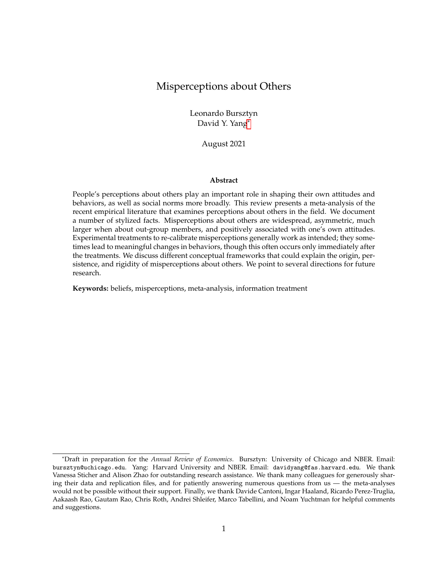| Label         | Paper                                    | Context                                             | N      | <b>Primary beliefs</b>                              | Treatment |
|---------------|------------------------------------------|-----------------------------------------------------|--------|-----------------------------------------------------|-----------|
| MT-19         | Mildenberger<br>Tingley<br>and<br>(2019) | Chinese and US samples                              | 3.474  | climate change: beliefs and policy opinions         | no        |
| $N-18$        | Nair (2018)                              | US representative sample                            | 2,690  | global income distribution                          | yes       |
| <b>RF-18</b>  | Rogers and Feller (2018)                 | high-risk students in the US                        | 34,461 | child's school absences                             | yes       |
| <b>RLD-18</b> | Robinson et al. (2018)                   | parents in school districts on the US<br>West Coast | 10.967 | child's school absences                             | yes       |
| <b>TS-18</b>  | Turetsky and Sanderson (2018)            | students at a US university                         | 520    | students' mental health                             | yes       |
| W-20          | Williamson (2020)                        | US representative sample                            | 3,267  | Muslims' patriotism; attitudes towards Mus-<br>lims | yes       |
| WZ-15         | Wiswall and Zafar (2015)                 | students at a US university                         | 501    | income depending on gender and college ma-<br>jor   | yes       |
| $Y-19$        | Yu (2019)                                | Mozambique representative sample                    | .588   | HIV stigma                                          | yes       |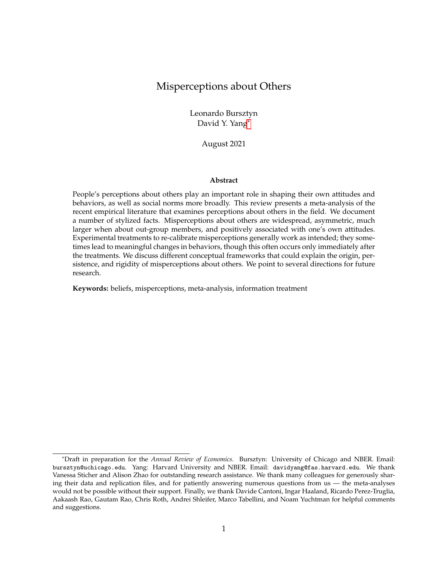| Label         | Paper                                            | Context                                                    | N      | Primary beliefs                                                    | Treatment |
|---------------|--------------------------------------------------|------------------------------------------------------------|--------|--------------------------------------------------------------------|-----------|
| $B-20$        | Bergman (2020)                                   | low-income area students in Los<br>Angeles                 | 306    | child's effort in school                                           | yes       |
| <b>BBK-13</b> | Balafoutas et al. (2013)                         | taxi drivers in Athens, Greece                             | 124    | taxi drivers' behavior                                             | no        |
| <b>BCD-09</b> | Beaman et al. (2009)                             | males and females in West Bengal,<br>India                 | 13,210 | womens' leader effectiveness and gender-<br>occupation stereotypes | ves       |
| <b>BGH-15</b> | Bullock et al. (2015)                            | US tax payers                                              | 216    | approval of president Bush                                         | yes       |
| $C-17$        | Cavaille (2017)                                  | European representative sample                             | 30,142 | free-riding behavior                                               | no        |
| $C-19$        | Carlana (2019)                                   | middle schools teachers in Italiy                          | 1.400  | difference in gender ability                                       | no        |
| <b>CAG-14</b> | Cassar, d'Adda and Grosjean<br>(2014)            | individuals in Italy and Kosovo                            | 346    | others' trustworthiness                                            | yes       |
| <b>CBI-06</b> | Chambers, Baron and Inman<br>(2006)              | psychology students at University<br>of lowa               | 287    | partisan differerences in political opinions                       | no        |
| <b>CM-06</b>  | Chambers and Melnyk (2006)                       | psychology students at University<br>of Florida            | 927    | partisan differerences in political opinions                       | no        |
| DH-14         | Distelhorst and Hou (2014)                       | local of cials in China                                    | 258    | ethnicities' characteristics                                       | yes       |
| <b>ETW-14</b> | Tomlin and Wang<br>Ewens,<br>(2014)              | landlords in the US posting on<br>Craigslist               | 14,237 | renters' quality based on race                                     | no        |
| <b>FLL-15</b> | Leibbrandt and List<br>Flory,<br>(2015)          | respondents to job advertisements<br>in the US             | 8,969  | potential future coworkers' and boss's gender                      | yes       |
| FP-13         | Ferraro and Price (2013)                         | households in Cobb County, Geor-<br>gia                    | 11,600 | other households' water use                                        | yes       |
| <b>FS-00</b>  | Frank and Schulze (2000)                         | students at University of Hohen-<br>heim, Germany          | 161    | others' corruptibility                                             | no        |
| GP-13         | Garca-Pérez (2013)                               | US sample                                                  | 91,682 | child's health                                                     | no        |
| HHH-<br>20    | Hager et al. (2020)                              | party supporters in a Western Euro-<br>pean country        | 1,417  | canvassing behavior                                                | yes       |
| <b>HKS-20</b> | Hvidberg,<br>Kreiner<br>and<br>Stantcheva (2020) | Denmark representative sample for<br>birth years 1969-1973 | 9,415  | income distribution                                                | yes       |
| <b>HR-21</b>  | Haaland and Roth (2021)                          | US representative sample                                   | 1,382  | racial labor market discriminations                                | yes       |
| $K-20$        | Koutout (2020)                                   | workers with interest or experience<br>in sales occupation | 4,882  | managers' beliefs about females' and males'<br>productivity        | yes       |
| <b>KQJ-20</b> | Kuklinski et al. (2000)                          | resentative sample of Illinois                             | 1,160  | people on welfare                                                  | yes       |

Table A.2: Overview of papers on perceptions about others not included in the meta-analyses

38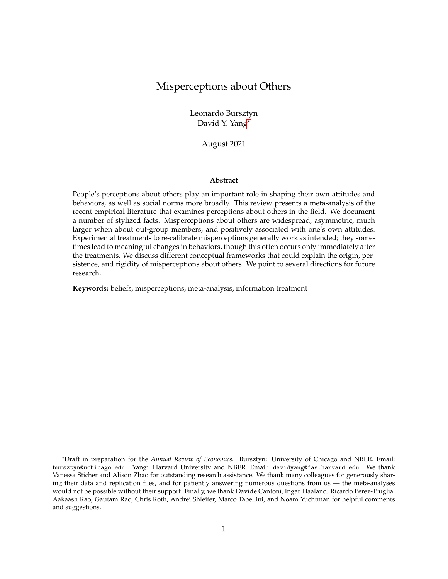| Label         | Paper                                        | Context                                                          | N     | <b>Primary beliefs</b>                                   | Treatment |
|---------------|----------------------------------------------|------------------------------------------------------------------|-------|----------------------------------------------------------|-----------|
| M-15          | Mukherjee (2017)                             | adolescents<br>-Ra<br>parents and<br><b>in</b><br>jasthan, India | 898   | child's future outcomes depending on gender<br>and caste | yes       |
| OP-13         | Ouazad and Page (2013)                       | <b>British students</b>                                          | 1,200 | teachers' discrimination in grading                      | yes       |
| $R-18$        | Reyes (2018)                                 | participants in a CCT program in<br>Cartagena, Colombia          | 714   | others' cooperation behavior in CCT programs             | yes       |
| SKH-18        | Sabarwal, Kacker and Habyari-<br>mana (2018) | secondary<br>school<br>teachers<br>in<br>Uganda                  | 350   | teachers' ability, effort, satisfaction                  | no        |
| SW-21         | Schindler and Westcott (2021)                | troops stationed in Britain                                      | 2.699 | English people's opinion of Americans                    | yes       |
| TC-16         | Tanaka and Camerer (2016)                    | multi-ethnic villages in<br>Mekong<br>Delta, Vietnam             | 334   | ethnic groups' characteristics                           | no        |
| W-05          | Wenzel (2005)                                | Australian taxpayers                                             | 1,500 | acceptance of tax evasion                                | yes       |
| <b>YAM-21</b> | Yang et al. (2021)                           | households in Mozambique                                         | 3,658 | HIV stigma                                               | yes       |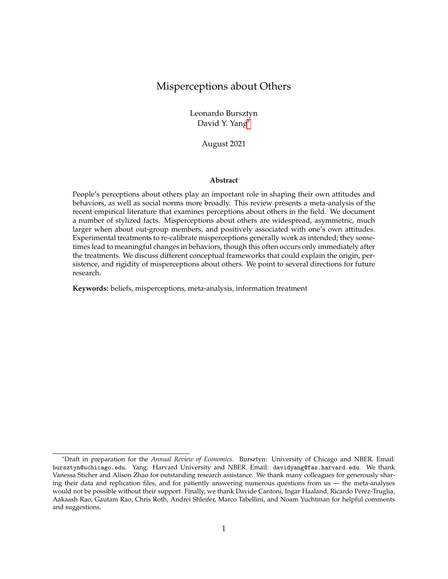Table A.3: Papers and beliefs by topic

| Domain        | Papers | Beliefs |
|---------------|--------|---------|
| politics      | 15     | 191     |
| socioeconomic | 14     | 40      |
| education     | 7      | 20      |
| gender        | 5      | 10      |
| health        | 5      | 16      |
| immigration   | 5      | 25      |
| Total         | 51     | 302     |

Table A.4: Papers and beliefs by type

| <b>Type</b>     | Papers | <b>Beliefs</b> |
|-----------------|--------|----------------|
| actions         | 18     | 41             |
| characteristics | 17     | 76             |
| opinions        | 16     | 185            |
| Total           | 51     | 302            |
|                 |        |                |

÷

Table A.5: Papers and beliefs by target

| Group     | Papers | Beliefs |
|-----------|--------|---------|
| in-group  | 23     | 124     |
| out-group | 17     | 149     |
| general   | 11     | 29      |
| Total     | 51     | 302     |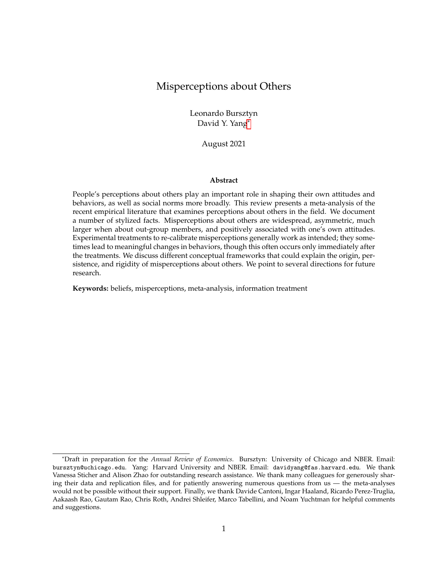Table A.6: Papers and beliefs by incentives

| Incentivized | Papers | <b>Beliefs</b> |
|--------------|--------|----------------|
| no           | 37     | 238            |
| yes          | 14     | 64             |
| Total        | 51     | 302            |

Table A.7: Papers and beliefs by unit

| Share vs absolute | Papers | <b>Beliefs</b> |
|-------------------|--------|----------------|
| share             | 27     | 120            |
| absolute          | 23     | 179            |
| binary            | 1      | З              |
| Total             | 51     | 302            |
|                   |        |                |

 $\overline{\phantom{a}}$ 

Table A.8: Papers and beliefs by treatment

| Treatment             | Papers | <b>Beliefs</b> |
|-----------------------|--------|----------------|
| information treatment | 34     | 115            |
| no treatment          | 11     | 156            |
| other treatment       | 6      | 31             |
| Total                 | 51     | 302            |

Table A.9: Papers and beliefs by belief elicitation

| <b>Beliefs</b>              | Papers | <b>Beliefs</b> |
|-----------------------------|--------|----------------|
| prior and posterior beliefs | 21     | 59             |
| prior beliefs               | 18     | 206            |
| posterior beliefs           | 12     | 37             |
| Total                       | 51     | 302            |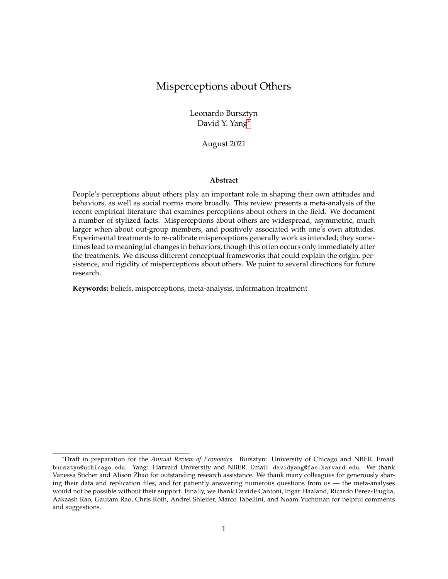Figure A.1: The gure replicates Figure 1, but is not limited to the primary components of the meta-analysis. It shows the distribution of misperceptions across papers. We measure misperceptions as the share of perceptions within 0.5 SD of the truth. Vertical lines indicate deciles.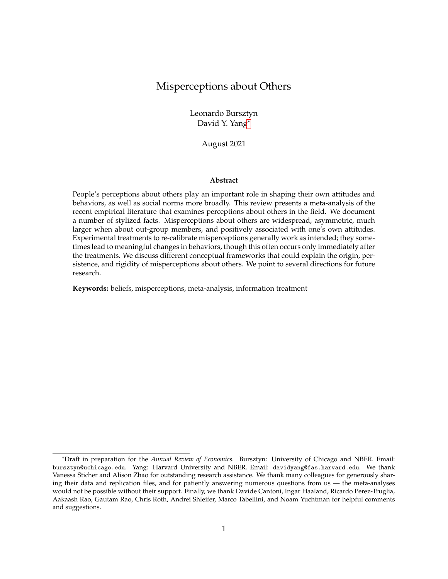Figure A.2: The gure replicates Figure 2, but is not limited to the primary components of the meta-analysis. It shows the share of correct perceptions (allowing for 0.5 SD around the truth) and the truth in relative terms. For perceptions with an in nite range of possible values, we restrict the scale by de ning a reasonable maximum (i.e., the maximum reported perception that is not clearly an outlier) — these beliefs are represented by the grey dots.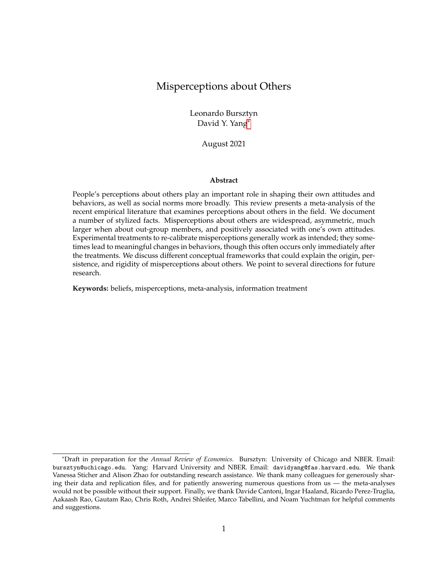Figure A.3: The gure replicates Figure 3, but is not limited to the primary components of the meta-analysis. It shows the distribution of asymmetry across papers. Asymmetry is de ned as the ration of underestimates to overestimates using the larger share as the numerator and the smaller share as the denominator. Vertical lines indicate deciles.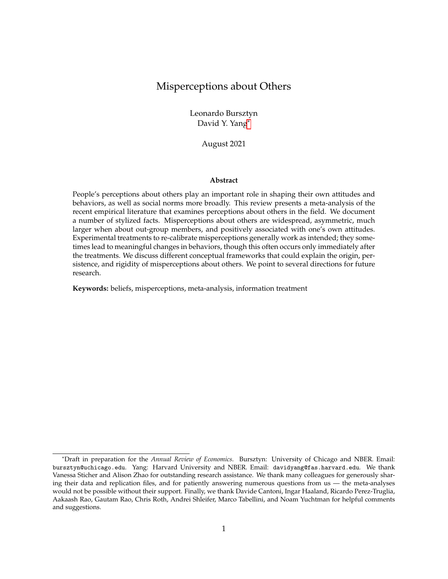Figure A.4: The gure replicates Figure 1 and shows the distribution of misperceptions, but it allows for different de nitions of correct perceptions. We de ne the different ranges based on the standard deviation of the beliefs, i.e., 0.25 SD, 1 SD, and 2 SD. Additional, we de ne a range around the truth based on the absolute value of the truth. The absolute range is de ned as follows: +/-5 percentage points for beliefs about percentages (except for beliefs about in ation rate: +/-0.5 percentage points), +/-0.5 points for political opinions measured on a scale from 1-7, +/-250 for beliefs about income with a truth of 904 and 1844, +/-500 for income with a truth of 2100, +/-5000 for income with a truth between 35,000 and 82,000, and +/-5 points for educational performance on a scale from 0-100. The sample for 0.25 SD is equal to the sample of Figure 1, the other gures only include papers for which we found replication data.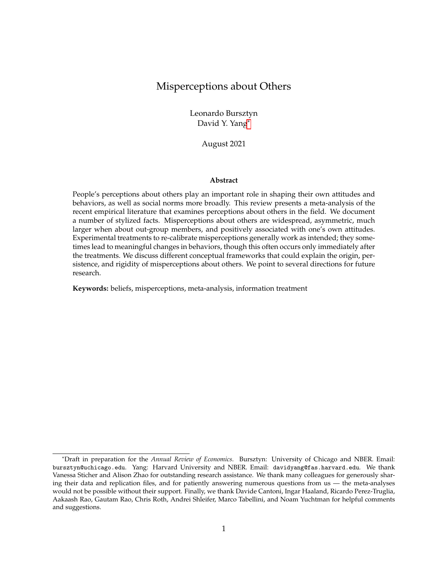Figure A.5: This gure shows the share of correct perceptions (allowing for 0.5 SD around the truth) and the truth in relative terms. For perceptions with an in nite range of possible values, we restrict the scale by de ning a reasonable maximum (i.e., the maximum reported perception that is not clearly an outlier) these beliefs are represented by the grey dots.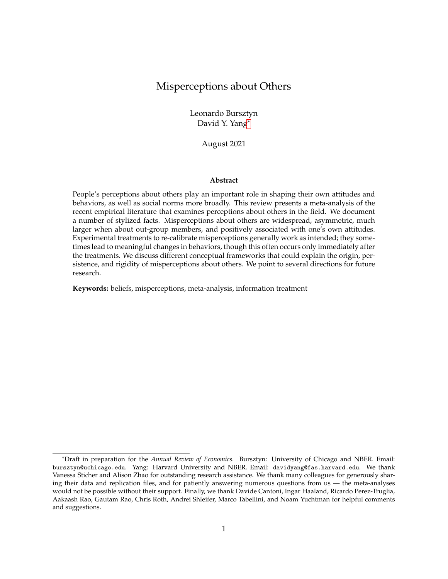

**Figure A.6:** The figure replicates Figure 3 allowing for different ranges around the truth (0.25 SD, 0.5 SD, 1 SD, 2 SD and an absolute range). Asymmetry is calculated as the ratio of overestimates to underestimates (using the larger share as the numerator and the smaller share as the denominator) excluding beliefs within the range of the truth.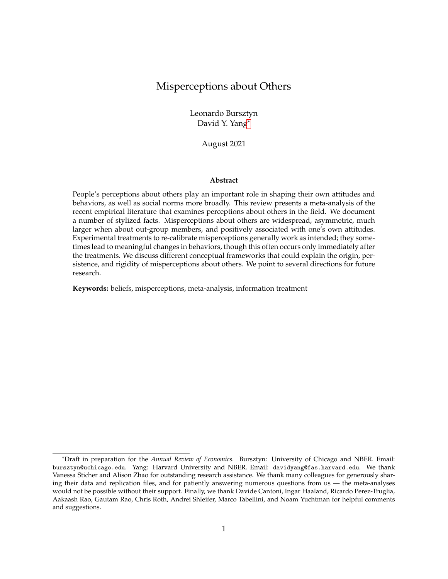

**Figure A.7:** The figure shows asymmetry (defined as the ratio of respondents on one side of the truth to respondents on the other side) and the truth in relative terms. The truth in relative terms is a non-transformed measure for perceptions measured as shares (e.g. percentage of people supporting a certain policy). For perceptions measured on an absolute scale, we transform the scale to a relative scale (e.g. if the truth for agreement with a statement on a scale from 1 to 7 is 4, this equal to 0.5 in relative terms). For perceptions with an infinite range of possible values, we restrict the scale by defining a reasonable maximum (i.e. the maximum reported perception that is not clearly an outlier). These beliefs are represented by the grey dots in the figure.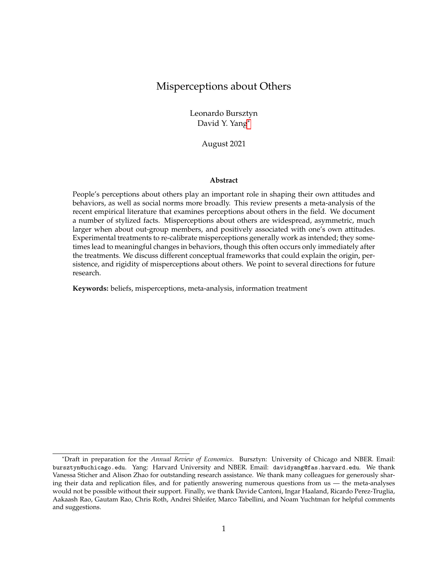

**Figure A.8:** The figure shows the correlations between in-group/out-group differences of share of correct beliefs within 0.5 SD and standard deviation (Panel A), standard deviation and asymmetry (Panel B), and share of correct beliefs within 0.5 SD and asymmetry (Panel C).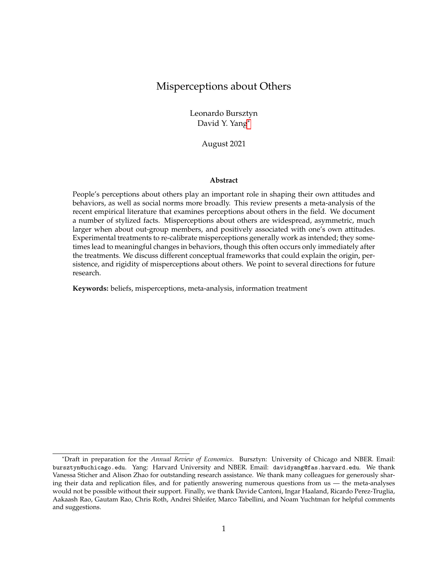



**Figure A.9:** The figure displays the belief changes at the individual level and at the aggregate level after imposing treatments of the full sample. Panel A shows the belief changes relative to prior beliefs. We sort the beliefs by the absolute differences between posterior and priors relative to priors and whether the posterior beliefs are moved in the intentional direction. Belief changes above 0 indicate that belief change directions match the intentional direction. Panel B shows the belief changes relative to true beliefs (which can be regarded as the percentage of misperceptions being corrected by treatments). We sort the beliefs by magnitudes of corrected misperceptions. Duration is "Immediate" if the prior and posterior beliefs are elicited in the same round of survey, and "Delayed" if the prior and posterior beliefs are elicited in separate surveys. A treatment is "Qualitative" if it is in the form of narrative or training, and "Quantitative" if it provides respondents statistics or the access to statistics. The mark "inc" is added to beliefs when the respondents are incentivized to guess right about others, and the mark "ag" is added to beliefs when the belief changes are calculated at the aggregate level.The mark "\*" on the belief label indicates that the belief is elicited under a different treatment.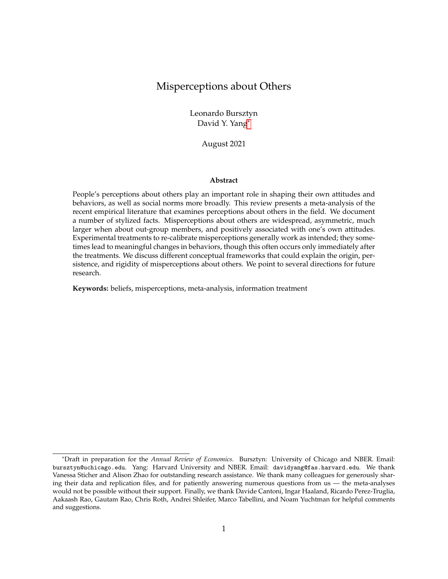

**Figure A.10:** The figure displays the belief changes at the aggregate level after imposing treatments of the primary beliefs. Panel A shows the belief changes relative to prior beliefs. Belief changes above 0 indicate that belief change directions match the intentional direction. Panel B shows the belief changes relative to true beliefs (which can be regarded as the percentage of misperceptions being corrected by treatments). Duration is "Immediate" if the prior and posterior beliefs are elicited in the same round of survey, and "delayed" if the prior and posterior beliefs are elicited in separate surveys. A treatment is "qualitative" if it is in the form of narrative or training, and "quantitative" if it provides respondents statistics or the access to statistics. The mark "inc" is added to beliefs when the respondents are incentivized to guess right about others.The mark "\*" on the belief label indicates that the belief is elicited under a different treatment.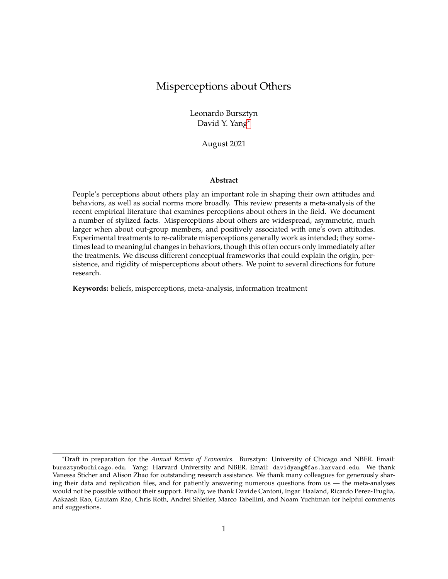

**Figure A.11:** This figure displays the persuasion rates of different treatments of the full sample. Duration is "Immediate" if the prior and posterior beliefs are elicited in the same round of survey, and "Delayed" if the prior and posterior beliefs are elicited in separate surveys. A treatment is "Qualitative" if it is in the form of narrative or training, and "Quantitative" if it provides respondents statistics or the access to statistics. Beliefs are elicited "Across groups" if the studies specify treatment groups and control groups, and "Within subject" if the prior and posterior beliefs are elicited from the same group of subjects. The mark "\*" on the belief label indicates that the belief is elicited under a different treatment.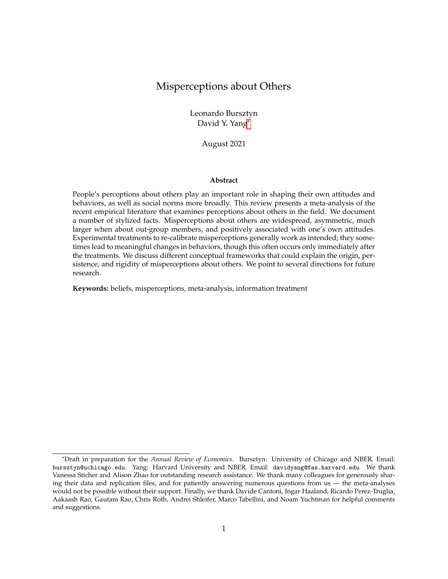

**Figure A.12:** This figure displays the persuasion rates of different treatments. We restrict the samples to the primary beliefs in the studies. A treatment is "Qualitative" if it is in the form of narrative or training, and "Quantitative" if it provides respondents statistics or the access to statistics. Beliefs are elicited "Across groups" if the studies specify treatment groups and control groups, and "Within subject" if the prior and posterior beliefs are elicited from the same group of subjects. The mark "\*" on the belief label indicates that the belief is elicited under a different treatment.